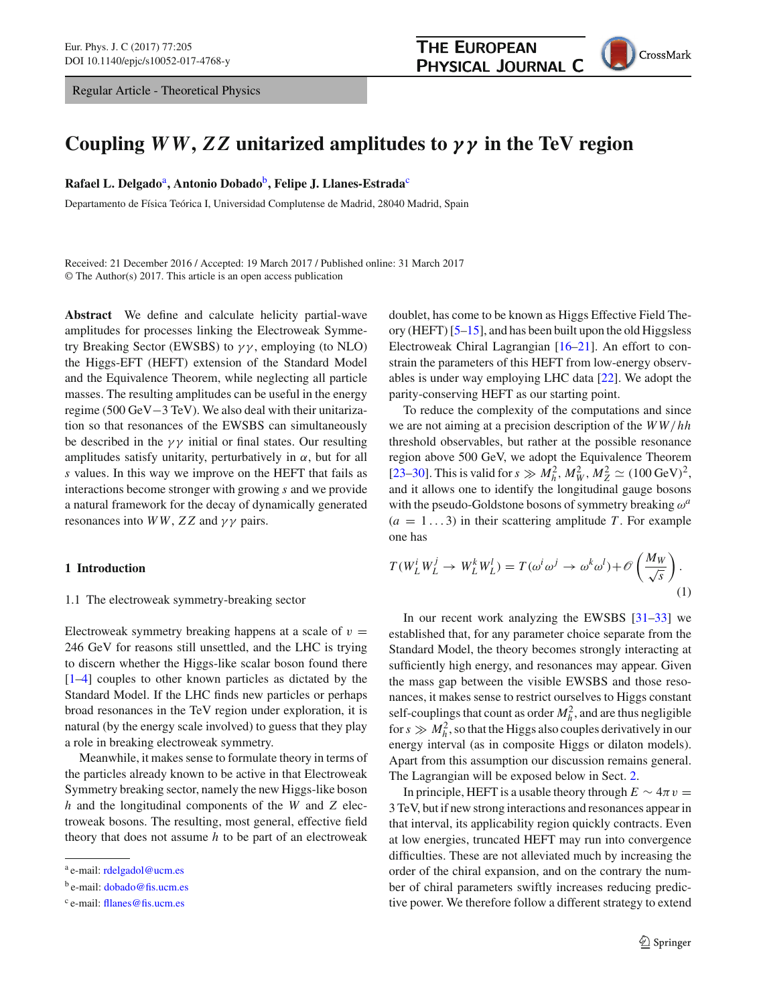Regular Article - Theoretical Physics

CrossMark

# **Coupling** *WW***,** *ZZ* **unitarized amplitudes to** *γ γ* **in the TeV region**

**Rafael L. Delgado**a**, Antonio Dobado**b**, Felipe J. Llanes-Estrada**<sup>c</sup>

Departamento de Física Teórica I, Universidad Complutense de Madrid, 28040 Madrid, Spain

Received: 21 December 2016 / Accepted: 19 March 2017 / Published online: 31 March 2017 © The Author(s) 2017. This article is an open access publication

**Abstract** We define and calculate helicity partial-wave amplitudes for processes linking the Electroweak Symmetry Breaking Sector (EWSBS) to  $\gamma\gamma$ , employing (to NLO) the Higgs-EFT (HEFT) extension of the Standard Model and the Equivalence Theorem, while neglecting all particle masses. The resulting amplitudes can be useful in the energy regime (500 GeV−3 TeV). We also deal with their unitarization so that resonances of the EWSBS can simultaneously be described in the  $\gamma\gamma$  initial or final states. Our resulting amplitudes satisfy unitarity, perturbatively in  $\alpha$ , but for all *s* values. In this way we improve on the HEFT that fails as interactions become stronger with growing *s* and we provide a natural framework for the decay of dynamically generated resonances into  $WW$ ,  $ZZ$  and  $\gamma\gamma$  pairs.

# **1 Introduction**

#### 1.1 The electroweak symmetry-breaking sector

Electroweak symmetry breaking happens at a scale of  $v =$ 246 GeV for reasons still unsettled, and the LHC is trying to discern whether the Higgs-like scalar boson found there [\[1](#page-11-0)[–4](#page-11-1)] couples to other known particles as dictated by the Standard Model. If the LHC finds new particles or perhaps broad resonances in the TeV region under exploration, it is natural (by the energy scale involved) to guess that they play a role in breaking electroweak symmetry.

Meanwhile, it makes sense to formulate theory in terms of the particles already known to be active in that Electroweak Symmetry breaking sector, namely the new Higgs-like boson *h* and the longitudinal components of the *W* and *Z* electroweak bosons. The resulting, most general, effective field theory that does not assume *h* to be part of an electroweak doublet, has come to be known as Higgs Effective Field Theory (HEFT)  $[5-15]$  $[5-15]$ , and has been built upon the old Higgsless Electroweak Chiral Lagrangian [\[16](#page-12-1)[–21\]](#page-12-2). An effort to constrain the parameters of this HEFT from low-energy observables is under way employing LHC data [\[22](#page-12-3)]. We adopt the parity-conserving HEFT as our starting point.

To reduce the complexity of the computations and since we are not aiming at a precision description of the *W W*/*hh* threshold observables, but rather at the possible resonance region above 500 GeV, we adopt the Equivalence Theorem [\[23](#page-12-4)[–30](#page-12-5)]. This is valid for  $s \gg M_h^2$ ,  $M_W^2$ ,  $M_Z^2 \simeq (100 \,\text{GeV})^2$ , and it allows one to identify the longitudinal gauge bosons with the pseudo-Goldstone bosons of symmetry breaking ω*<sup>a</sup>*  $(a = 1...3)$  in their scattering amplitude T. For example one has

$$
T(W_L^i W_L^j \to W_L^k W_L^l) = T(\omega^i \omega^j \to \omega^k \omega^l) + \mathcal{O}\left(\frac{M_W}{\sqrt{s}}\right). \tag{1}
$$

In our recent work analyzing the EWSBS [\[31](#page-12-6)[–33](#page-12-7)] we established that, for any parameter choice separate from the Standard Model, the theory becomes strongly interacting at sufficiently high energy, and resonances may appear. Given the mass gap between the visible EWSBS and those resonances, it makes sense to restrict ourselves to Higgs constant self-couplings that count as order  $M_h^2$ , and are thus negligible for  $s \gg M_h^2$ , so that the Higgs also couples derivatively in our energy interval (as in composite Higgs or dilaton models). Apart from this assumption our discussion remains general. The Lagrangian will be exposed below in Sect. [2.](#page-1-0)

In principle, HEFT is a usable theory through  $E \sim 4\pi v =$ 3 TeV, but if new strong interactions and resonances appear in that interval, its applicability region quickly contracts. Even at low energies, truncated HEFT may run into convergence difficulties. These are not alleviated much by increasing the order of the chiral expansion, and on the contrary the number of chiral parameters swiftly increases reducing predictive power. We therefore follow a different strategy to extend

a e-mail: [rdelgadol@ucm.es](mailto:rdelgadol@ucm.es)

b e-mail: [dobado@fis.ucm.es](mailto:dobado@fis.ucm.es)

<sup>c</sup> e-mail: [fllanes@fis.ucm.es](mailto:fllanes@fis.ucm.es)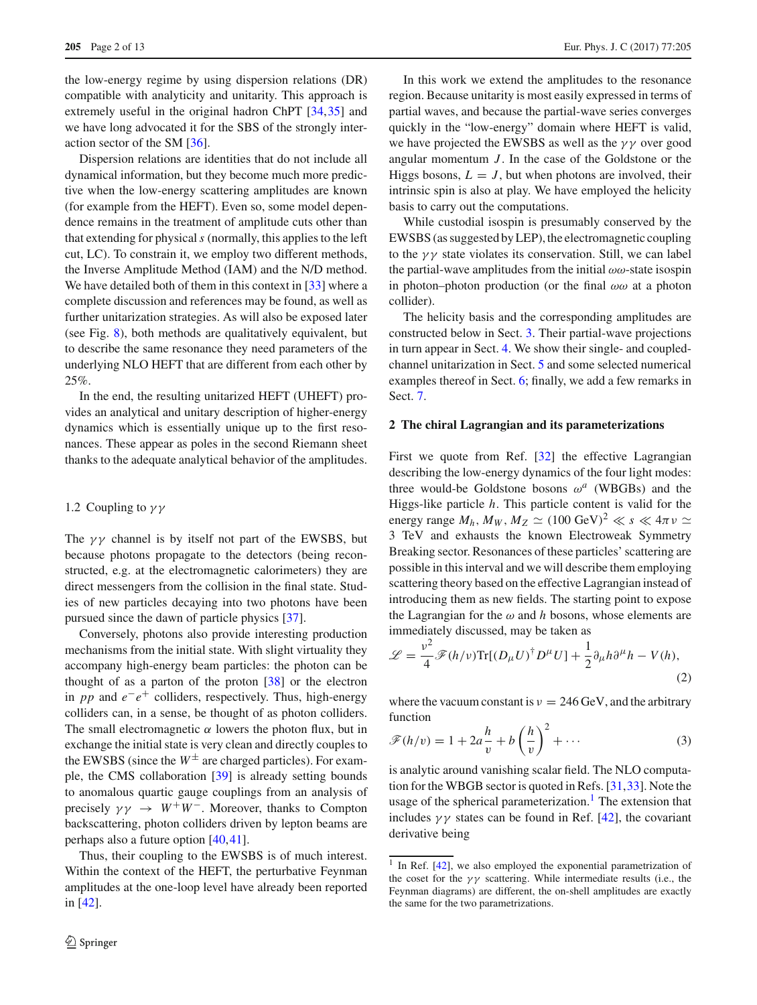the low-energy regime by using dispersion relations (DR) compatible with analyticity and unitarity. This approach is extremely useful in the original hadron ChPT [\[34,](#page-12-8)[35\]](#page-12-9) and we have long advocated it for the SBS of the strongly interaction sector of the SM [\[36\]](#page-12-10).

Dispersion relations are identities that do not include all dynamical information, but they become much more predictive when the low-energy scattering amplitudes are known (for example from the HEFT). Even so, some model dependence remains in the treatment of amplitude cuts other than that extending for physical*s* (normally, this applies to the left cut, LC). To constrain it, we employ two different methods, the Inverse Amplitude Method (IAM) and the N/D method. We have detailed both of them in this context in [\[33\]](#page-12-7) where a complete discussion and references may be found, as well as further unitarization strategies. As will also be exposed later (see Fig. [8\)](#page-10-0), both methods are qualitatively equivalent, but to describe the same resonance they need parameters of the underlying NLO HEFT that are different from each other by 25%.

In the end, the resulting unitarized HEFT (UHEFT) provides an analytical and unitary description of higher-energy dynamics which is essentially unique up to the first resonances. These appear as poles in the second Riemann sheet thanks to the adequate analytical behavior of the amplitudes.

### 1.2 Coupling to  $\gamma\gamma$

The  $\gamma\gamma$  channel is by itself not part of the EWSBS, but because photons propagate to the detectors (being reconstructed, e.g. at the electromagnetic calorimeters) they are direct messengers from the collision in the final state. Studies of new particles decaying into two photons have been pursued since the dawn of particle physics [\[37](#page-12-11)].

Conversely, photons also provide interesting production mechanisms from the initial state. With slight virtuality they accompany high-energy beam particles: the photon can be thought of as a parton of the proton  $[38]$  or the electron in *pp* and *e*−*e*+ colliders, respectively. Thus, high-energy colliders can, in a sense, be thought of as photon colliders. The small electromagnetic  $\alpha$  lowers the photon flux, but in exchange the initial state is very clean and directly couples to the EWSBS (since the  $W^{\pm}$  are charged particles). For example, the CMS collaboration [\[39\]](#page-12-13) is already setting bounds to anomalous quartic gauge couplings from an analysis of precisely  $\gamma \gamma \rightarrow W^+W^-$ . Moreover, thanks to Compton backscattering, photon colliders driven by lepton beams are perhaps also a future option [\[40](#page-12-14),[41\]](#page-12-15).

Thus, their coupling to the EWSBS is of much interest. Within the context of the HEFT, the perturbative Feynman amplitudes at the one-loop level have already been reported in [\[42\]](#page-12-16).

In this work we extend the amplitudes to the resonance region. Because unitarity is most easily expressed in terms of partial waves, and because the partial-wave series converges quickly in the "low-energy" domain where HEFT is valid, we have projected the EWSBS as well as the  $\gamma\gamma$  over good angular momentum *J* . In the case of the Goldstone or the Higgs bosons,  $L = J$ , but when photons are involved, their intrinsic spin is also at play. We have employed the helicity basis to carry out the computations.

While custodial isospin is presumably conserved by the EWSBS (as suggested by LEP), the electromagnetic coupling to the  $\gamma\gamma$  state violates its conservation. Still, we can label the partial-wave amplitudes from the initial  $\omega\omega$ -state isospin in photon–photon production (or the final  $\omega\omega$  at a photon collider).

The helicity basis and the corresponding amplitudes are constructed below in Sect. [3.](#page-3-0) Their partial-wave projections in turn appear in Sect. [4.](#page-4-0) We show their single- and coupledchannel unitarization in Sect. [5](#page-5-0) and some selected numerical examples thereof in Sect. [6;](#page-8-0) finally, we add a few remarks in Sect. [7.](#page-10-1)

# <span id="page-1-0"></span>**2 The chiral Lagrangian and its parameterizations**

First we quote from Ref. [\[32\]](#page-12-17) the effective Lagrangian describing the low-energy dynamics of the four light modes: three would-be Goldstone bosons  $\omega^a$  (WBGBs) and the Higgs-like particle *h*. This particle content is valid for the energy range  $M_h$ ,  $M_W$ ,  $M_Z \simeq (100 \text{ GeV})^2 \ll s \ll 4\pi v \simeq$ 3 TeV and exhausts the known Electroweak Symmetry Breaking sector. Resonances of these particles' scattering are possible in this interval and we will describe them employing scattering theory based on the effective Lagrangian instead of introducing them as new fields. The starting point to expose the Lagrangian for the  $\omega$  and  $h$  bosons, whose elements are immediately discussed, may be taken as

<span id="page-1-3"></span>
$$
\mathcal{L} = \frac{v^2}{4} \mathcal{F}(h/v) \text{Tr}[(D_\mu U)^\dagger D^\mu U] + \frac{1}{2} \partial_\mu h \partial^\mu h - V(h),\tag{2}
$$

where the vacuum constant is  $v = 246 \,\text{GeV}$ , and the arbitrary function

<span id="page-1-2"></span>
$$
\mathscr{F}(h/v) = 1 + 2a\frac{h}{v} + b\left(\frac{h}{v}\right)^2 + \cdots
$$
 (3)

is analytic around vanishing scalar field. The NLO computation for the WBGB sector is quoted in Refs. [\[31](#page-12-6)[,33](#page-12-7)]. Note the usage of the spherical parameterization.<sup>[1](#page-1-1)</sup> The extension that includes  $\gamma \gamma$  states can be found in Ref. [\[42](#page-12-16)], the covariant derivative being

<span id="page-1-1"></span><sup>&</sup>lt;sup>1</sup> In Ref. [\[42\]](#page-12-16), we also employed the exponential parametrization of the coset for the  $\gamma\gamma$  scattering. While intermediate results (i.e., the Feynman diagrams) are different, the on-shell amplitudes are exactly the same for the two parametrizations.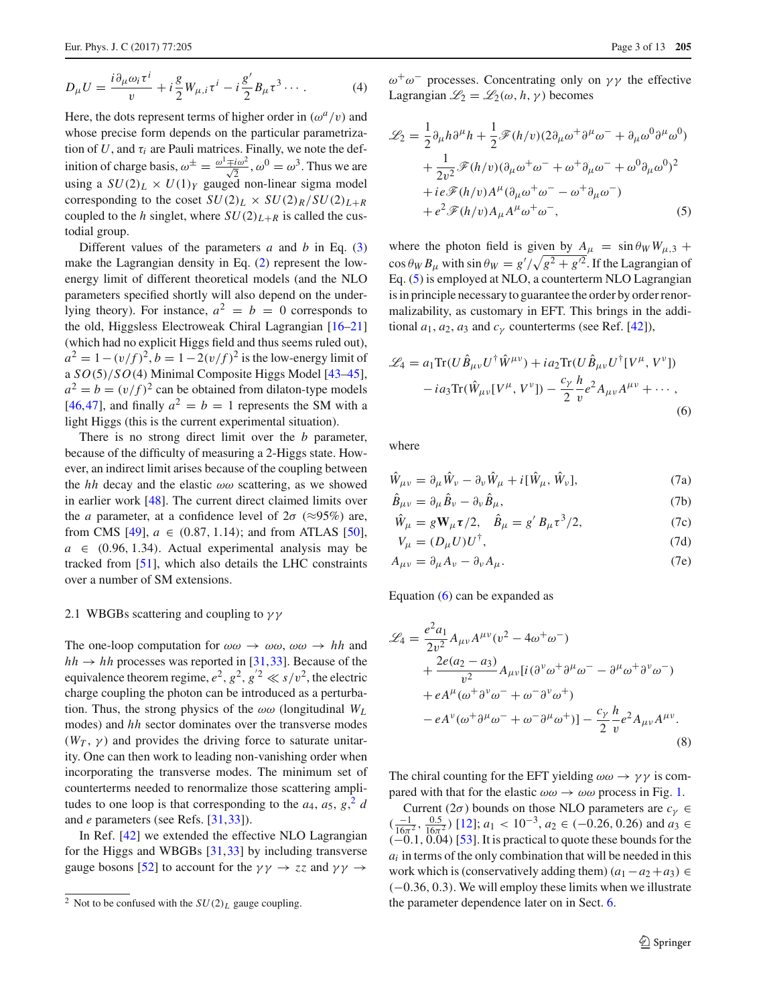$$
D_{\mu}U = \frac{i\partial_{\mu}\omega_{i}\tau^{i}}{v} + i\frac{g}{2}W_{\mu,i}\tau^{i} - i\frac{g'}{2}B_{\mu}\tau^{3} \cdots
$$
 (4)

Here, the dots represent terms of higher order in  $(\omega^a/v)$  and whose precise form depends on the particular parametrization of  $U$ , and  $\tau_i$  are Pauli matrices. Finally, we note the definition of charge basis,  $\omega^{\pm} = \frac{\omega^1 \mp i \omega^2}{\sqrt{2}}$ ,  $\omega^0 = \omega^3$ . Thus we are using a  $SU(2)_L \times U(1)_Y$  gauged non-linear sigma model corresponding to the coset  $SU(2)_L \times SU(2)_R/SU(2)_{L+R}$ coupled to the *h* singlet, where  $SU(2)_{L+R}$  is called the custodial group.

Different values of the parameters *a* and *b* in Eq. [\(3\)](#page-1-2) make the Lagrangian density in Eq. [\(2\)](#page-1-3) represent the lowenergy limit of different theoretical models (and the NLO parameters specified shortly will also depend on the underlying theory). For instance,  $a^2 = b = 0$  corresponds to the old, Higgsless Electroweak Chiral Lagrangian [\[16](#page-12-1)[–21\]](#page-12-2) (which had no explicit Higgs field and thus seems ruled out),  $a^{2} = 1 - (v/f)^{2}$ ,  $b = 1 - 2(v/f)^{2}$  is the low-energy limit of a *SO*(5)/*SO*(4) Minimal Composite Higgs Model [\[43](#page-12-18)[–45](#page-12-19)],  $a^2 = b = (v/f)^2$  can be obtained from dilaton-type models [\[46](#page-12-20),[47\]](#page-12-21), and finally  $a^2 = b = 1$  represents the SM with a light Higgs (this is the current experimental situation).

There is no strong direct limit over the *b* parameter, because of the difficulty of measuring a 2-Higgs state. However, an indirect limit arises because of the coupling between the *hh* decay and the elastic  $\omega\omega$  scattering, as we showed in earlier work [\[48](#page-12-22)]. The current direct claimed limits over the *a* parameter, at a confidence level of  $2\sigma$  ( $\approx$ 95%) are, from CMS [\[49\]](#page-12-23),  $a \in (0.87, 1.14)$ ; and from ATLAS [\[50](#page-12-24)],  $a \in (0.96, 1.34)$ . Actual experimental analysis may be tracked from [\[51](#page-12-25)], which also details the LHC constraints over a number of SM extensions.

#### <span id="page-2-3"></span>2.1 WBGBs scattering and coupling to  $\gamma\gamma$

The one-loop computation for  $\omega \omega \rightarrow \omega \omega$ ,  $\omega \omega \rightarrow hh$  and  $hh \rightarrow hh$  processes was reported in [\[31](#page-12-6),[33\]](#page-12-7). Because of the equivalence theorem regime,  $e^2$ ,  $g^2$ ,  $g'^2 \ll s/v^2$ , the electric charge coupling the photon can be introduced as a perturbation. Thus, the strong physics of the  $\omega\omega$  (longitudinal  $W_L$ ) modes) and *hh* sector dominates over the transverse modes  $(W_T, \gamma)$  and provides the driving force to saturate unitarity. One can then work to leading non-vanishing order when incorporating the transverse modes. The minimum set of counterterms needed to renormalize those scattering amplitudes to one loop is that corresponding to the  $a_4$ ,  $a_5$ ,  $g$ ,  $\frac{2}{d}$  $\frac{2}{d}$  $\frac{2}{d}$ and *e* parameters (see Refs. [\[31](#page-12-6),[33\]](#page-12-7)).

In Ref. [\[42](#page-12-16)] we extended the effective NLO Lagrangian for the Higgs and WBGBs [\[31](#page-12-6),[33\]](#page-12-7) by including transverse gauge bosons [\[52](#page-12-26)] to account for the  $\gamma \gamma \rightarrow zz$  and  $\gamma \gamma \rightarrow$ 

 $ω<sup>+</sup>ω<sup>-</sup>$  processes. Concentrating only on γγ the effective Lagrangian  $\mathcal{L}_2 = \mathcal{L}_2(\omega, h, \gamma)$  becomes

<span id="page-2-1"></span>
$$
\mathcal{L}_2 = \frac{1}{2} \partial_\mu h \partial^\mu h + \frac{1}{2} \mathcal{F}(h/v) (2 \partial_\mu \omega^+ \partial^\mu \omega^- + \partial_\mu \omega^0 \partial^\mu \omega^0) \n+ \frac{1}{2v^2} \mathcal{F}(h/v) (\partial_\mu \omega^+ \omega^- + \omega^+ \partial_\mu \omega^- + \omega^0 \partial_\mu \omega^0)^2 \n+ i e \mathcal{F}(h/v) A^\mu (\partial_\mu \omega^+ \omega^- - \omega^+ \partial_\mu \omega^-) \n+ e^2 \mathcal{F}(h/v) A_\mu A^\mu \omega^+ \omega^-,
$$
\n(5)

where the photon field is given by  $A_{\mu} = \sin \theta_W W_{\mu,3} +$  $\cos \theta_W B_\mu$  with  $\sin \theta_W = g' / \sqrt{g^2 + g'^2}$ . If the Lagrangian of Eq. [\(5\)](#page-2-1) is employed at NLO, a counterterm NLO Lagrangian is in principle necessary to guarantee the order by order renormalizability, as customary in EFT. This brings in the additional  $a_1$ ,  $a_2$ ,  $a_3$  and  $c_\nu$  counterterms (see Ref. [\[42\]](#page-12-16)),

<span id="page-2-2"></span>
$$
\mathcal{L}_4 = a_1 \text{Tr}(U \hat{B}_{\mu\nu} U^{\dagger} \hat{W}^{\mu\nu}) + i a_2 \text{Tr}(U \hat{B}_{\mu\nu} U^{\dagger} [V^{\mu}, V^{\nu}])
$$

$$
- i a_3 \text{Tr}(\hat{W}_{\mu\nu} [V^{\mu}, V^{\nu}]) - \frac{c_{\gamma}}{2} \frac{h}{v} e^2 A_{\mu\nu} A^{\mu\nu} + \cdots,
$$

$$
(6)
$$

where

$$
\hat{W}_{\mu\nu} = \partial_{\mu}\hat{W}_{\nu} - \partial_{\nu}\hat{W}_{\mu} + i[\hat{W}_{\mu}, \hat{W}_{\nu}], \tag{7a}
$$

$$
\ddot{B}_{\mu\nu} = \partial_{\mu}\ddot{B}_{\nu} - \partial_{\nu}\ddot{B}_{\mu},\tag{7b}
$$

$$
\hat{W}_{\mu} = gW_{\mu}\tau/2, \quad \hat{B}_{\mu} = g' B_{\mu}\tau^{3}/2,
$$
 (7c)

$$
V_{\mu} = (D_{\mu}U)U^{\dagger}, \tag{7d}
$$

$$
A_{\mu\nu} = \partial_{\mu}A_{\nu} - \partial_{\nu}A_{\mu}.
$$
 (7e)

Equation [\(6\)](#page-2-2) can be expanded as

$$
\mathcal{L}_4 = \frac{e^2 a_1}{2v^2} A_{\mu\nu} A^{\mu\nu} (v^2 - 4\omega^+ \omega^-) \n+ \frac{2e(a_2 - a_3)}{v^2} A_{\mu\nu} [i(\partial^{\nu}\omega^+ \partial^{\mu}\omega^- - \partial^{\mu}\omega^+ \partial^{\nu}\omega^-) \n+ eA^{\mu} (\omega^+ \partial^{\nu}\omega^- + \omega^- \partial^{\nu}\omega^+) \n- eA^{\nu} (\omega^+ \partial^{\mu}\omega^- + \omega^- \partial^{\mu}\omega^+)] - \frac{c_{\gamma}}{2} \frac{h}{v} e^2 A_{\mu\nu} A^{\mu\nu}.
$$
\n(8)

The chiral counting for the EFT yielding  $\omega \omega \rightarrow \gamma \gamma$  is compared with that for the elastic  $\omega \omega \rightarrow \omega \omega$  process in Fig. [1.](#page-3-1)

Current ( $2\sigma$ ) bounds on those NLO parameters are  $c_{\gamma} \in$  $\left(\frac{-1}{16\pi^2}, \frac{0.5}{16\pi^2}\right)$  [\[12\]](#page-12-27);  $a_1 < 10^{-3}, a_2 \in (-0.26, 0.26)$  and  $a_3 \in$  $(-0.1, 0.04)$  [\[53\]](#page-12-28). It is practical to quote these bounds for the *ai* in terms of the only combination that will be needed in this work which is (conservatively adding them)  $(a_1 - a_2 + a_3) \in$ (−0.36, 0.3). We will employ these limits when we illustrate the parameter dependence later on in Sect. [6.](#page-8-0)

<span id="page-2-0"></span><sup>&</sup>lt;sup>2</sup> Not to be confused with the  $SU(2)_L$  gauge coupling.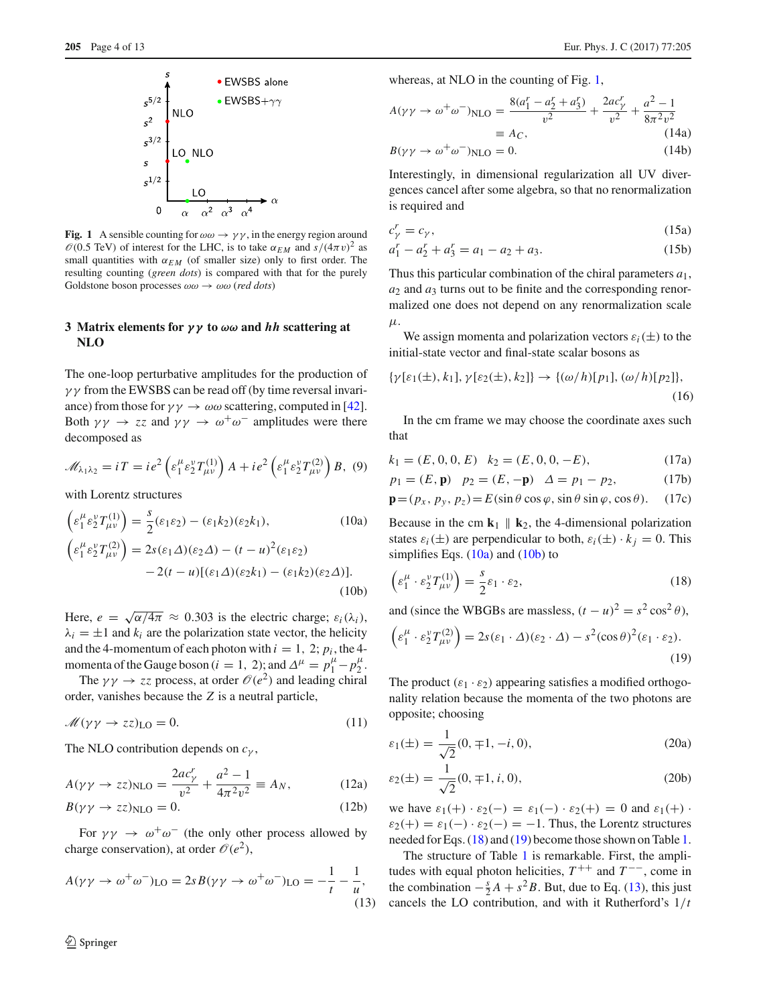



<span id="page-3-1"></span>**Fig. 1** A sensible counting for  $\omega \omega \rightarrow \gamma \gamma$ , in the energy region around  $\mathcal{O}(0.5 \text{ TeV})$  of interest for the LHC, is to take  $\alpha_{EM}$  and  $s/(4\pi v)^2$  as small quantities with  $\alpha_{EM}$  (of smaller size) only to first order. The resulting counting (*green dots*) is compared with that for the purely Goldstone boson processes  $\omega \omega \rightarrow \omega \omega$  (*red dots*)

# <span id="page-3-0"></span>**3 Matrix elements for** *γ γ* **to** *ωω* **and** *hh* **scattering at NLO**

The one-loop perturbative amplitudes for the production of  $\gamma\gamma$  from the EWSBS can be read off (by time reversal invariance) from those for  $\gamma \gamma \rightarrow \omega \omega$  scattering, computed in [\[42](#page-12-16)]. Both  $\gamma \gamma \rightarrow zz$  and  $\gamma \gamma \rightarrow \omega^+ \omega^-$  amplitudes were there decomposed as

$$
\mathscr{M}_{\lambda_1\lambda_2} = iT = ie^2 \left( \varepsilon_1^{\mu} \varepsilon_2^{\nu} T_{\mu\nu}^{(1)} \right) A + ie^2 \left( \varepsilon_1^{\mu} \varepsilon_2^{\nu} T_{\mu\nu}^{(2)} \right) B, (9)
$$

with Lorentz structures

<span id="page-3-2"></span>
$$
\begin{aligned}\n\left(\varepsilon_1^{\mu} \varepsilon_2^{\nu} T_{\mu\nu}^{(1)}\right) &= \frac{s}{2} (\varepsilon_1 \varepsilon_2) - (\varepsilon_1 k_2) (\varepsilon_2 k_1), & (10a) \\
\left(\varepsilon_1^{\mu} \varepsilon_2^{\nu} T_{\mu\nu}^{(2)}\right) &= 2s(\varepsilon_1 \Delta)(\varepsilon_2 \Delta) - (t - u)^2 (\varepsilon_1 \varepsilon_2) \\
&- 2(t - u) [(\varepsilon_1 \Delta)(\varepsilon_2 k_1) - (\varepsilon_1 k_2)(\varepsilon_2 \Delta)].\n\end{aligned}
$$
\n(10b)

Here,  $e = \sqrt{\alpha/4\pi} \approx 0.303$  is the electric charge;  $\varepsilon_i(\lambda_i)$ ,  $\lambda_i = \pm 1$  and  $k_i$  are the polarization state vector, the helicity and the 4-momentum of each photon with  $i = 1, 2$ ;  $p_i$ , the 4momenta of the Gauge boson  $(i = 1, 2)$ ; and  $\Delta^{\mu} = p_1^{\mu} - p_2^{\mu}$ .

The  $\gamma \gamma \rightarrow zz$  process, at order  $\mathcal{O}(e^2)$  and leading chiral order, vanishes because the *Z* is a neutral particle,

$$
\mathcal{M}(\gamma\gamma \to zz)_{\text{LO}} = 0. \tag{11}
$$

The NLO contribution depends on *c*<sup>γ</sup> ,

<span id="page-3-8"></span>
$$
A(\gamma \gamma \to z z)_{\text{NLO}} = \frac{2ac_{\gamma}^{r}}{v^{2}} + \frac{a^{2} - 1}{4\pi^{2} v^{2}} \equiv A_{N}, \quad (12a)
$$

$$
B(\gamma \gamma \to z z)_{\text{NLO}} = 0. \tag{12b}
$$

For  $\gamma \gamma \rightarrow \omega^+ \omega^-$  (the only other process allowed by charge conservation), at order  $\mathcal{O}(e^2)$ ,

<span id="page-3-5"></span>
$$
A(\gamma\gamma \to \omega^+\omega^-)_{\text{LO}} = 2sB(\gamma\gamma \to \omega^+\omega^-)_{\text{LO}} = -\frac{1}{t} - \frac{1}{u},\tag{13}
$$

<span id="page-3-7"></span>whereas, at NLO in the counting of Fig. [1,](#page-3-1)

<span id="page-3-9"></span>
$$
A(\gamma \gamma \to \omega^{+} \omega^{-})_{\text{NLO}} = \frac{8(a_1^r - a_2^r + a_3^r)}{v^2} + \frac{2ac_y^r}{v^2} + \frac{a^2 - 1}{8\pi^2 v^2}
$$
  
\n
$$
\equiv A_C,
$$
 (14a)  
\n
$$
B(\gamma \gamma \to \omega^{+} \omega^{-})_{\text{NLO}} = 0.
$$
 (14b)

Interestingly, in dimensional regularization all UV divergences cancel after some algebra, so that no renormalization is required and

$$
c_{\gamma}^{r} = c_{\gamma},\tag{15a}
$$

$$
a_1^r - a_2^r + a_3^r = a_1 - a_2 + a_3. \tag{15b}
$$

Thus this particular combination of the chiral parameters *a*1, *a*<sup>2</sup> and *a*<sup>3</sup> turns out to be finite and the corresponding renormalized one does not depend on any renormalization scale μ.

We assign momenta and polarization vectors  $\varepsilon_i(\pm)$  to the initial-state vector and final-state scalar bosons as

$$
\{\gamma[\varepsilon_1(\pm), k_1], \gamma[\varepsilon_2(\pm), k_2]\} \to \{(\omega/h)[p_1], (\omega/h)[p_2]\},\tag{16}
$$

In the cm frame we may choose the coordinate axes such that

$$
k_1 = (E, 0, 0, E) \quad k_2 = (E, 0, 0, -E), \tag{17a}
$$

$$
p_1 = (E, \mathbf{p})
$$
  $p_2 = (E, -\mathbf{p})$   $\Delta = p_1 - p_2,$  (17b)

$$
\mathbf{p} = (p_x, p_y, p_z) = E(\sin \theta \cos \varphi, \sin \theta \sin \varphi, \cos \theta). \quad (17c)
$$

Because in the cm  $\mathbf{k}_1 \parallel \mathbf{k}_2$ , the 4-dimensional polarization states  $\varepsilon_i(\pm)$  are perpendicular to both,  $\varepsilon_i(\pm) \cdot k_j = 0$ . This simplifies Eqs.  $(10a)$  and  $(10b)$  to

<span id="page-3-3"></span>
$$
\left(\varepsilon_1^{\mu} \cdot \varepsilon_2^{\nu} T_{\mu\nu}^{(1)}\right) = \frac{s}{2} \varepsilon_1 \cdot \varepsilon_2,\tag{18}
$$

and (since the WBGBs are massless,  $(t - u)^2 = s^2 \cos^2 \theta$ ),

<span id="page-3-4"></span>
$$
\left(\varepsilon_1^{\mu} \cdot \varepsilon_2^{\nu} T_{\mu\nu}^{(2)}\right) = 2s(\varepsilon_1 \cdot \Delta)(\varepsilon_2 \cdot \Delta) - s^2(\cos \theta)^2(\varepsilon_1 \cdot \varepsilon_2).
$$
\n(19)

The product  $(\varepsilon_1 \cdot \varepsilon_2)$  appearing satisfies a modified orthogonality relation because the momenta of the two photons are opposite; choosing

<span id="page-3-10"></span>
$$
\varepsilon_1(\pm) = \frac{1}{\sqrt{2}}(0, \mp 1, -i, 0),\tag{20a}
$$

<span id="page-3-6"></span>
$$
\varepsilon_2(\pm) = \frac{1}{\sqrt{2}} (0, \mp 1, i, 0), \tag{20b}
$$

we have  $\varepsilon_1(+) \cdot \varepsilon_2(-) = \varepsilon_1(-) \cdot \varepsilon_2(+) = 0$  and  $\varepsilon_1(+) \cdot$  $\varepsilon_2(+) = \varepsilon_1(-) \cdot \varepsilon_2(-) = -1$ . Thus, the Lorentz structures needed for Eqs. [\(18\)](#page-3-3) and [\(19\)](#page-3-4) become those shown on Table [1.](#page-4-1)

The structure of Table [1](#page-4-1) is remarkable. First, the amplitudes with equal photon helicities,  $T^{++}$  and  $T^{--}$ , come in the combination  $-\frac{s}{2}A + s^2B$ . But, due to Eq. [\(13\)](#page-3-5), this just cancels the LO contribution, and with it Rutherford's 1/*t*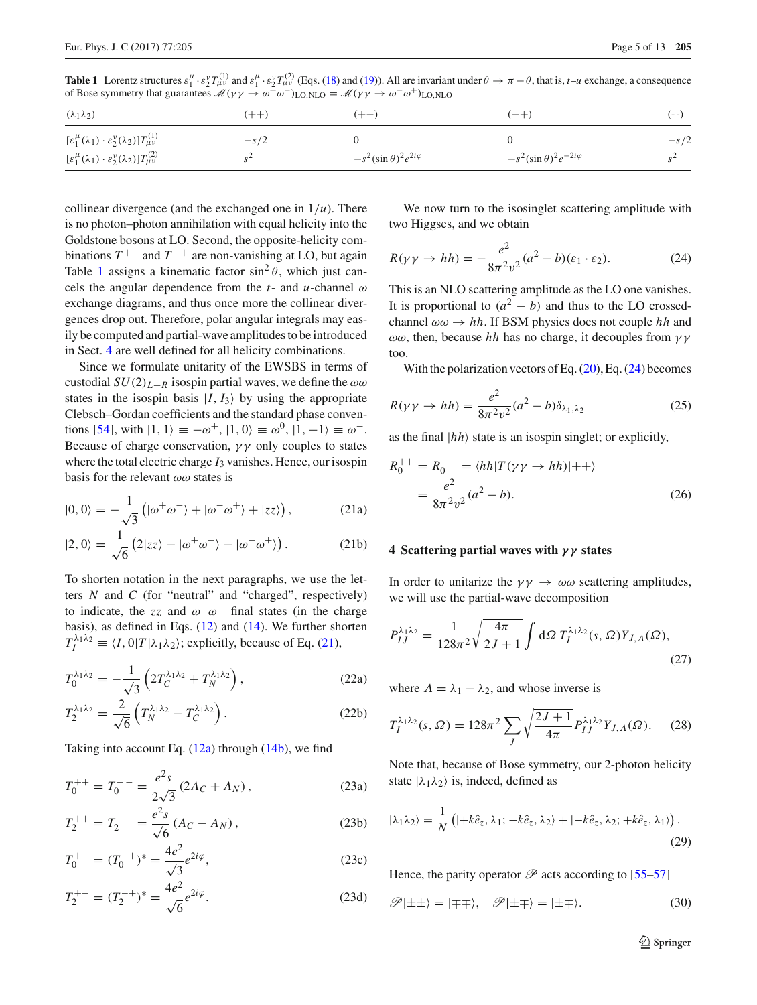<span id="page-4-1"></span>**Table 1** Lorentz structures  $\varepsilon_1^{\mu} \cdot \varepsilon_2^{\nu} T_{\mu\nu}^{(1)}$  and  $\varepsilon_1^{\mu} \cdot \varepsilon_2^{\nu} T_{\mu\nu}^{(2)}$  (Eqs. [\(18\)](#page-3-3) and [\(19\)](#page-3-4)). All are invariant under  $\theta \to \pi - \theta$ , that is, *t*–*u* exchange, a consequence of Bose symmetry that guarantees  $M(\gamma \gamma \rightarrow \omega^+ \omega^-)_{\text{LO,NLO}} = M(\gamma \gamma \rightarrow \omega^- \omega^+)_{\text{LO,NLO}}$ 

| $(\lambda_1\lambda_2)$                                                                 | $(++)$ | $(+-)$                            | $(-+)$                             | ( – – )    |
|----------------------------------------------------------------------------------------|--------|-----------------------------------|------------------------------------|------------|
| $[\varepsilon_1^{\mu}(\lambda_1)\cdot\varepsilon_2^{\nu}(\lambda_2)]T_{\mu\nu}^{(1)}$  | $-s/2$ |                                   |                                    | $-s/2$     |
| $[\varepsilon_1^\mu (\lambda_1) \cdot \varepsilon_2^\nu (\lambda_2)] T_{\mu\nu}^{(2)}$ | $\sim$ | $-s^2(\sin\theta)^2e^{2i\varphi}$ | $-s^2(\sin\theta)^2e^{-2i\varphi}$ | $S^{\sim}$ |

collinear divergence (and the exchanged one in  $1/u$ ). There is no photon–photon annihilation with equal helicity into the Goldstone bosons at LO. Second, the opposite-helicity combinations  $T^{+-}$  and  $T^{-+}$  are non-vanishing at LO, but again Table [1](#page-4-1) assigns a kinematic factor  $\sin^2 \theta$ , which just cancels the angular dependence from the  $t$ - and  $u$ -channel  $\omega$ exchange diagrams, and thus once more the collinear divergences drop out. Therefore, polar angular integrals may easily be computed and partial-wave amplitudes to be introduced in Sect. [4](#page-4-0) are well defined for all helicity combinations.

Since we formulate unitarity of the EWSBS in terms of custodial  $SU(2)_{L+R}$  isospin partial waves, we define the  $\omega\omega$ states in the isospin basis  $|I, I_3\rangle$  by using the appropriate Clebsch–Gordan coefficients and the standard phase conven-tions [\[54](#page-12-29)], with  $|1, 1\rangle \equiv -\omega^+$ ,  $|1, 0\rangle \equiv \omega^0$ ,  $|1, -1\rangle \equiv \omega^-$ . Because of charge conservation,  $\gamma \gamma$  only couples to states where the total electric charge  $I_3$  vanishes. Hence, our isospin basis for the relevant  $\omega\omega$  states is

$$
|0,0\rangle = -\frac{1}{\sqrt{3}}\left(|\omega^{+}\omega^{-}\rangle + |\omega^{-}\omega^{+}\rangle + |zz\rangle\right),
$$
 (21a)

$$
|2,0\rangle = \frac{1}{\sqrt{6}} \left(2|zz\rangle - |\omega^+\omega^-\rangle - |\omega^-\omega^+\rangle\right). \tag{21b}
$$

To shorten notation in the next paragraphs, we use the letters *N* and *C* (for "neutral" and "charged", respectively) to indicate, the *zz* and  $\omega^+\omega^-$  final states (in the charge basis), as defined in Eqs. [\(12\)](#page-3-6) and [\(14\)](#page-3-7). We further shorten  $T_I^{\lambda_1 \lambda_2} \equiv \langle I, 0 | T | \lambda_1 \lambda_2 \rangle$ ; explicitly, because of Eq. [\(21\)](#page-4-2),

$$
T_0^{\lambda_1 \lambda_2} = -\frac{1}{\sqrt{3}} \left( 2T_C^{\lambda_1 \lambda_2} + T_N^{\lambda_1 \lambda_2} \right),\tag{22a}
$$

$$
T_2^{\lambda_1 \lambda_2} = \frac{2}{\sqrt{6}} \left( T_N^{\lambda_1 \lambda_2} - T_C^{\lambda_1 \lambda_2} \right).
$$
 (22b)

Taking into account Eq.  $(12a)$  through  $(14b)$ , we find

$$
T_0^{++} = T_0^{--} = \frac{e^2 s}{2\sqrt{3}} (2A_C + A_N), \qquad (23a)
$$

$$
T_2^{++} = T_2^{--} = \frac{e^2 s}{\sqrt{6}} (A_C - A_N), \qquad (23b)
$$

$$
T_0^{+-} = (T_0^{-+})^* = \frac{4e^2}{\sqrt{3}}e^{2i\varphi},\tag{23c}
$$

$$
T_2^{+-} = (T_2^{-+})^* = \frac{4e^2}{\sqrt{6}}e^{2i\varphi}.
$$
 (23d)

We now turn to the isosinglet scattering amplitude with two Higgses, and we obtain

<span id="page-4-3"></span>
$$
R(\gamma \gamma \to hh) = -\frac{e^2}{8\pi^2 v^2} (a^2 - b)(\varepsilon_1 \cdot \varepsilon_2). \tag{24}
$$

This is an NLO scattering amplitude as the LO one vanishes. It is proportional to  $(a^2 - b)$  and thus to the LO crossedchannel  $\omega \omega \rightarrow hh$ . If BSM physics does not couple *hh* and  $\omega\omega$ , then, because *hh* has no charge, it decouples from  $\gamma\gamma$ too.

With the polarization vectors of Eq.  $(20)$ , Eq.  $(24)$  becomes

$$
R(\gamma \gamma \to hh) = \frac{e^2}{8\pi^2 v^2} (a^2 - b)\delta_{\lambda_1, \lambda_2}
$$
 (25)

as the final  $|h h\rangle$  state is an isospin singlet; or explicitly,

<span id="page-4-5"></span><span id="page-4-2"></span>
$$
R_0^{++} = R_0^{--} = \langle hh|T(\gamma\gamma \to hh)|++\rangle
$$
  
= 
$$
\frac{e^2}{8\pi^2 v^2} (a^2 - b).
$$
 (26)

# <span id="page-4-0"></span>**4 Scattering partial waves with** *γ γ* **states**

In order to unitarize the  $\gamma \gamma \rightarrow \omega \omega$  scattering amplitudes, we will use the partial-wave decomposition

$$
P_{IJ}^{\lambda_1 \lambda_2} = \frac{1}{128\pi^2} \sqrt{\frac{4\pi}{2J+1}} \int d\Omega \ T_I^{\lambda_1 \lambda_2}(s,\Omega) Y_{J,\Lambda}(\Omega),\tag{27}
$$

where  $\Lambda = \lambda_1 - \lambda_2$ , and whose inverse is

$$
T_I^{\lambda_1 \lambda_2}(s, \Omega) = 128\pi^2 \sum_J \sqrt{\frac{2J+1}{4\pi}} P_{IJ}^{\lambda_1 \lambda_2} Y_{J, \Lambda}(\Omega). \tag{28}
$$

<span id="page-4-4"></span>Note that, because of Bose symmetry, our 2-photon helicity state  $|\lambda_1 \lambda_2\rangle$  is, indeed, defined as

$$
|\lambda_1 \lambda_2\rangle = \frac{1}{N} \left( |+k\hat{e}_z, \lambda_1; -k\hat{e}_z, \lambda_2\rangle + |-k\hat{e}_z, \lambda_2; +k\hat{e}_z, \lambda_1\rangle \right).
$$
\n(29)

Hence, the parity operator  $\mathscr P$  acts according to [\[55](#page-12-30)[–57](#page-12-31)]

$$
\mathscr{P}|\pm\pm\rangle = |\mp\mp\rangle, \quad \mathscr{P}|\pm\mp\rangle = |\pm\mp\rangle. \tag{30}
$$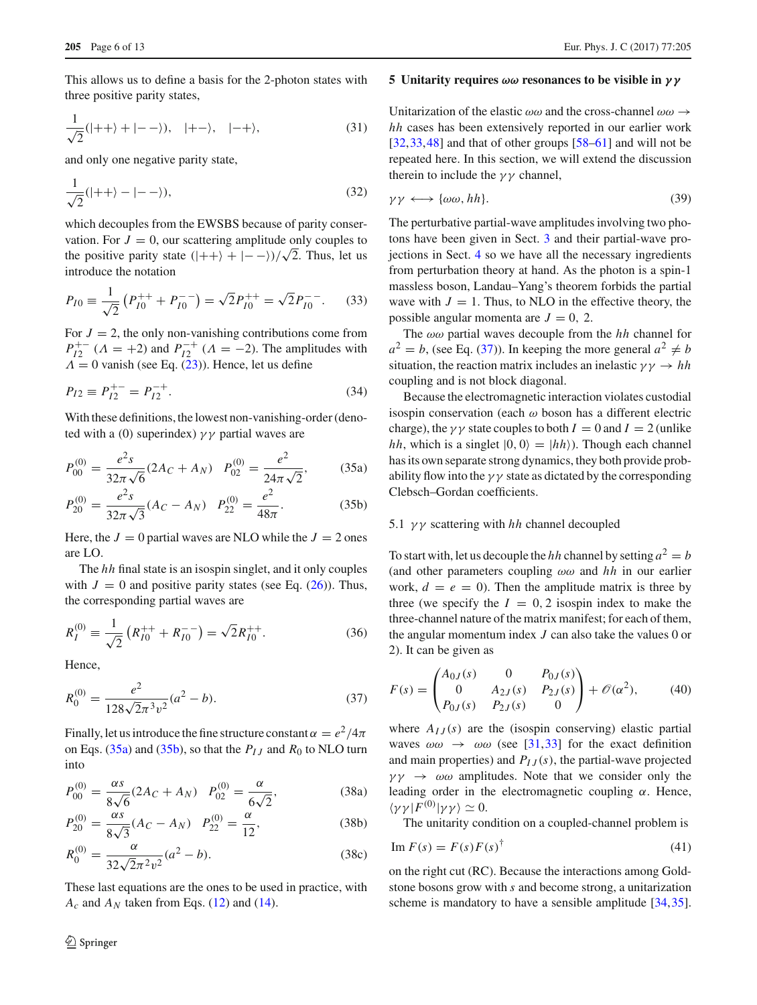This allows us to define a basis for the 2-photon states with three positive parity states,

$$
\frac{1}{\sqrt{2}}(|++\rangle + |--\rangle), |+-\rangle, |-+\rangle,
$$
 (31)

and only one negative parity state,

$$
\frac{1}{\sqrt{2}}(|++\rangle - |--\rangle),\tag{32}
$$

which decouples from the EWSBS because of parity conservation. For  $J = 0$ , our scattering amplitude only couples to the positive parity state  $(|++\rangle + |--\rangle)/\sqrt{2}$ . Thus, let us introduce the notation

$$
P_{I0} \equiv \frac{1}{\sqrt{2}} \left( P_{I0}^{++} + P_{I0}^{--} \right) = \sqrt{2} P_{I0}^{++} = \sqrt{2} P_{I0}^{--}.
$$
 (33)

For  $J = 2$ , the only non-vanishing contributions come from *P*<sup>+−</sup><sub>*I*2</sub><sup> $\cdots$ </sup> (*A* = +2) and *P*<sub>*I*2</sub><sup> $\cdots$ </sup> (*A* = −2). The amplitudes with  $\Lambda = 0$  vanish (see Eq. [\(23\)](#page-4-4)). Hence, let us define

$$
P_{I2} \equiv P_{I2}^{+-} = P_{I2}^{-+}.
$$
\n(34)

With these definitions, the lowest non-vanishing-order (denoted with a (0) superindex)  $\gamma \gamma$  partial waves are

<span id="page-5-1"></span>
$$
P_{00}^{(0)} = \frac{e^2 s}{32\pi\sqrt{6}} (2A_C + A_N) \quad P_{02}^{(0)} = \frac{e^2}{24\pi\sqrt{2}},\tag{35a}
$$

$$
P_{20}^{(0)} = \frac{e^2 s}{32\pi\sqrt{3}} (Ac - A_N) \quad P_{22}^{(0)} = \frac{e^2}{48\pi}.
$$
 (35b)

Here, the  $J = 0$  partial waves are NLO while the  $J = 2$  ones are LO.

The *hh* final state is an isospin singlet, and it only couples with  $J = 0$  and positive parity states (see Eq.  $(26)$ ). Thus, the corresponding partial waves are

$$
R_I^{(0)} \equiv \frac{1}{\sqrt{2}} \left( R_{I0}^{++} + R_{I0}^{--} \right) = \sqrt{2} R_{I0}^{++}.
$$
 (36)

Hence,

<span id="page-5-2"></span>
$$
R_0^{(0)} = \frac{e^2}{128\sqrt{2}\pi^3 v^2} (a^2 - b).
$$
 (37)

Finally, let us introduce the fine structure constant  $\alpha = e^2/4\pi$ on Eqs. [\(35a\)](#page-5-1) and [\(35b\)](#page-5-1), so that the  $P_{IJ}$  and  $R_0$  to NLO turn into

<span id="page-5-7"></span><span id="page-5-5"></span>
$$
P_{00}^{(0)} = \frac{\alpha s}{8\sqrt{6}} (2A_C + A_N) \quad P_{02}^{(0)} = \frac{\alpha}{6\sqrt{2}}, \tag{38a}
$$

$$
P_{20}^{(0)} = \frac{\alpha s}{8\sqrt{3}} (A_C - A_N) \quad P_{22}^{(0)} = \frac{\alpha}{12},\tag{38b}
$$

$$
R_0^{(0)} = \frac{\alpha}{32\sqrt{2}\pi^2 v^2} (a^2 - b).
$$
 (38c)

These last equations are the ones to be used in practice, with  $A_c$  and  $A_N$  taken from Eqs. [\(12\)](#page-3-6) and [\(14\)](#page-3-7).

# <sup>1</sup> Springer

#### <span id="page-5-0"></span>**5 Unitarity requires** *ωω* **resonances to be visible in** *γ γ*

Unitarization of the elastic  $\omega\omega$  and the cross-channel  $\omega\omega \rightarrow$ *hh* cases has been extensively reported in our earlier work [\[32](#page-12-17),[33,](#page-12-7)[48\]](#page-12-22) and that of other groups [\[58](#page-12-32)[–61](#page-12-33)] and will not be repeated here. In this section, we will extend the discussion therein to include the  $\gamma \gamma$  channel,

$$
\gamma \gamma \longleftrightarrow {\omega \omega, hh}.\tag{39}
$$

The perturbative partial-wave amplitudes involving two photons have been given in Sect. [3](#page-3-0) and their partial-wave projections in Sect. [4](#page-4-0) so we have all the necessary ingredients from perturbation theory at hand. As the photon is a spin-1 massless boson, Landau–Yang's theorem forbids the partial wave with  $J = 1$ . Thus, to NLO in the effective theory, the possible angular momenta are  $J = 0$ , 2.

The ωω partial waves decouple from the *hh* channel for  $a^2 = b$ , (see Eq. [\(37\)](#page-5-2)). In keeping the more general  $a^2 \neq b$ situation, the reaction matrix includes an inelastic  $\gamma \gamma \rightarrow hh$ coupling and is not block diagonal.

Because the electromagnetic interaction violates custodial isospin conservation (each  $\omega$  boson has a different electric charge), the  $\gamma \gamma$  state couples to both  $I = 0$  and  $I = 2$  (unlike *hh*, which is a singlet  $|0, 0\rangle = |hh\rangle$ . Though each channel has its own separate strong dynamics, they both provide probability flow into the  $\gamma \gamma$  state as dictated by the corresponding Clebsch–Gordan coefficients.

#### <span id="page-5-6"></span>5.1  $\gamma\gamma$  scattering with *hh* channel decoupled

To start with, let us decouple the *hh* channel by setting  $a^2 = b$ (and other parameters coupling ωω and *hh* in our earlier work,  $d = e = 0$ ). Then the amplitude matrix is three by three (we specify the  $I = 0, 2$  isospin index to make the three-channel nature of the matrix manifest; for each of them, the angular momentum index *J* can also take the values 0 or 2). It can be given as

<span id="page-5-4"></span>
$$
F(s) = \begin{pmatrix} A_{0J}(s) & 0 & P_{0J}(s) \\ 0 & A_{2J}(s) & P_{2J}(s) \\ P_{0J}(s) & P_{2J}(s) & 0 \end{pmatrix} + \mathcal{O}(\alpha^2), \quad (40)
$$

where  $A_{IJ}(s)$  are the (isospin conserving) elastic partial waves  $\omega \omega \rightarrow \omega \omega$  (see [\[31,](#page-12-6)[33\]](#page-12-7) for the exact definition and main properties) and  $P_{IJ}(s)$ , the partial-wave projected  $\gamma \gamma \rightarrow \omega \omega$  amplitudes. Note that we consider only the leading order in the electromagnetic coupling  $\alpha$ . Hence,  $\langle \gamma \gamma | F^{(0)} | \gamma \gamma \rangle \simeq 0.$ 

The unitarity condition on a coupled-channel problem is

<span id="page-5-3"></span>
$$
\operatorname{Im} F(s) = F(s)F(s)^{\dagger} \tag{41}
$$

on the right cut (RC). Because the interactions among Goldstone bosons grow with *s* and become strong, a unitarization scheme is mandatory to have a sensible amplitude [\[34](#page-12-8)[,35](#page-12-9)].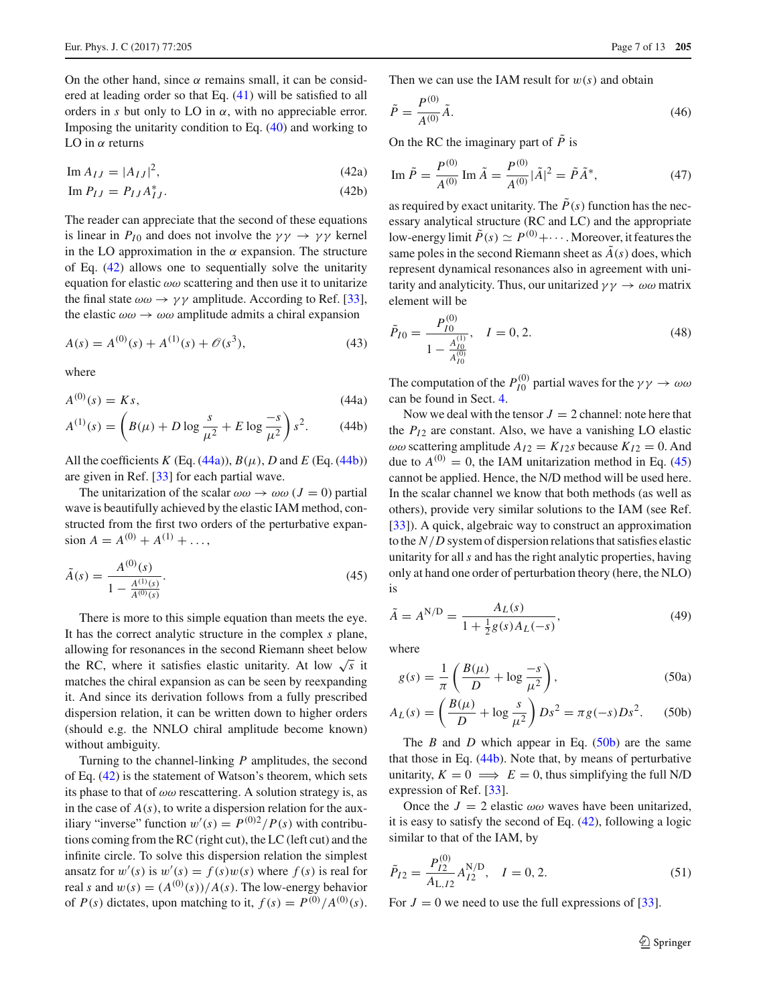On the other hand, since  $\alpha$  remains small, it can be considered at leading order so that Eq. [\(41\)](#page-5-3) will be satisfied to all orders in *s* but only to LO in  $\alpha$ , with no appreciable error. Imposing the unitarity condition to Eq. [\(40\)](#page-5-4) and working to LO in  $\alpha$  returns

<span id="page-6-0"></span>
$$
\operatorname{Im} A_{IJ} = |A_{IJ}|^2,\tag{42a}
$$

$$
\operatorname{Im} P_{IJ} = P_{IJ} A_{IJ}^*.
$$
\n(42b)

The reader can appreciate that the second of these equations is linear in  $P_{I0}$  and does not involve the  $\gamma \gamma \rightarrow \gamma \gamma$  kernel in the LO approximation in the  $\alpha$  expansion. The structure of Eq. [\(42\)](#page-6-0) allows one to sequentially solve the unitarity equation for elastic  $\omega\omega$  scattering and then use it to unitarize the final state  $\omega \omega \rightarrow \gamma \gamma$  amplitude. According to Ref. [\[33](#page-12-7)], the elastic  $\omega \omega \rightarrow \omega \omega$  amplitude admits a chiral expansion

$$
A(s) = A^{(0)}(s) + A^{(1)}(s) + \mathcal{O}(s^3),
$$
\n(43)

where

<span id="page-6-1"></span>
$$
A^{(0)}(s) = Ks,\tag{44a}
$$

$$
A^{(1)}(s) = \left(B(\mu) + D \log \frac{s}{\mu^2} + E \log \frac{-s}{\mu^2}\right) s^2. \tag{44b}
$$

All the coefficients  $K$  (Eq. [\(44a\)](#page-6-1)),  $B(\mu)$ ,  $D$  and  $E$  (Eq. [\(44b\)](#page-6-1)) are given in Ref. [\[33\]](#page-12-7) for each partial wave.

The unitarization of the scalar  $\omega \omega \rightarrow \omega \omega (J = 0)$  partial wave is beautifully achieved by the elastic IAM method, constructed from the first two orders of the perturbative expansion  $A = A^{(0)} + A^{(1)} + \ldots$ ,

<span id="page-6-2"></span>
$$
\tilde{A}(s) = \frac{A^{(0)}(s)}{1 - \frac{A^{(1)}(s)}{A^{(0)}(s)}}.
$$
\n(45)

There is more to this simple equation than meets the eye. It has the correct analytic structure in the complex *s* plane, allowing for resonances in the second Riemann sheet below the RC, where it satisfies elastic unitarity. At low  $\sqrt{s}$  it matches the chiral expansion as can be seen by reexpanding it. And since its derivation follows from a fully prescribed dispersion relation, it can be written down to higher orders (should e.g. the NNLO chiral amplitude become known) without ambiguity.

Turning to the channel-linking *P* amplitudes, the second of Eq. [\(42\)](#page-6-0) is the statement of Watson's theorem, which sets its phase to that of  $\omega\omega$  rescattering. A solution strategy is, as in the case of  $A(s)$ , to write a dispersion relation for the auxiliary "inverse" function  $w'(s) = P^{(0)2}/P(s)$  with contributions coming from the RC (right cut), the LC (left cut) and the infinite circle. To solve this dispersion relation the simplest ansatz for  $w'(s)$  is  $w'(s) = f(s)w(s)$  where  $f(s)$  is real for real *s* and  $w(s) = (A^{(0)}(s))/A(s)$ . The low-energy behavior of *P*(*s*) dictates, upon matching to it,  $f(s) = P^{(0)}/A^{(0)}(s)$ .

Then we can use the IAM result for  $w(s)$  and obtain

<span id="page-6-4"></span>
$$
\tilde{P} = \frac{P^{(0)}}{A^{(0)}}\tilde{A}.\tag{46}
$$

On the RC the imaginary part of  $\tilde{P}$  is

Im 
$$
\tilde{P} = \frac{P^{(0)}}{A^{(0)}} \text{Im } \tilde{A} = \frac{P^{(0)}}{A^{(0)}} |\tilde{A}|^2 = \tilde{P} \tilde{A}^*,
$$
 (47)

as required by exact unitarity. The  $\tilde{P}(s)$  function has the necessary analytical structure (RC and LC) and the appropriate low-energy limit  $\tilde{P}(s) \simeq P^{(0)} + \cdots$  . Moreover, it features the same poles in the second Riemann sheet as  $\tilde{A}(s)$  does, which represent dynamical resonances also in agreement with unitarity and analyticity. Thus, our unitarized  $\gamma \gamma \rightarrow \omega \omega$  matrix element will be

$$
\tilde{P}_{I0} = \frac{P_{I0}^{(0)}}{1 - \frac{A_{I0}^{(1)}}{A_{I0}^{(0)}}}, \quad I = 0, 2.
$$
\n(48)

The computation of the  $P_{I0}^{(0)}$  partial waves for the  $\gamma \gamma \to \omega \omega$ can be found in Sect. [4.](#page-4-0)

Now we deal with the tensor  $J = 2$  channel: note here that the  $P_{I2}$  are constant. Also, we have a vanishing LO elastic  $\omega\omega$  scattering amplitude  $A_{I2} = K_{I2}s$  because  $K_{I2} = 0$ . And due to  $A^{(0)} = 0$ , the IAM unitarization method in Eq. [\(45\)](#page-6-2) cannot be applied. Hence, the N/D method will be used here. In the scalar channel we know that both methods (as well as others), provide very similar solutions to the IAM (see Ref. [\[33](#page-12-7)]). A quick, algebraic way to construct an approximation to the *N*/*D* system of dispersion relations that satisfies elastic unitarity for all*s* and has the right analytic properties, having only at hand one order of perturbation theory (here, the NLO) is

<span id="page-6-5"></span>
$$
\tilde{A} = A^{N/D} = \frac{A_L(s)}{1 + \frac{1}{2}g(s)A_L(-s)},
$$
\n(49)

where

<span id="page-6-3"></span>
$$
g(s) = \frac{1}{\pi} \left( \frac{B(\mu)}{D} + \log \frac{-s}{\mu^2} \right),\tag{50a}
$$

$$
A_L(s) = \left(\frac{B(\mu)}{D} + \log \frac{s}{\mu^2}\right) Ds^2 = \pi g(-s) Ds^2.
$$
 (50b)

The *B* and *D* which appear in Eq. [\(50b\)](#page-6-3) are the same that those in Eq. [\(44b\)](#page-6-1). Note that, by means of perturbative unitarity,  $K = 0 \implies E = 0$ , thus simplifying the full N/D expression of Ref. [\[33\]](#page-12-7).

Once the  $J = 2$  elastic  $\omega \omega$  waves have been unitarized, it is easy to satisfy the second of Eq. [\(42\)](#page-6-0), following a logic similar to that of the IAM, by

<span id="page-6-6"></span>
$$
\tilde{P}_{I2} = \frac{P_{I2}^{(0)}}{A_{L, I2}} A_{I2}^{N/D}, \quad I = 0, 2.
$$
\n(51)

For  $J = 0$  we need to use the full expressions of [\[33](#page-12-7)].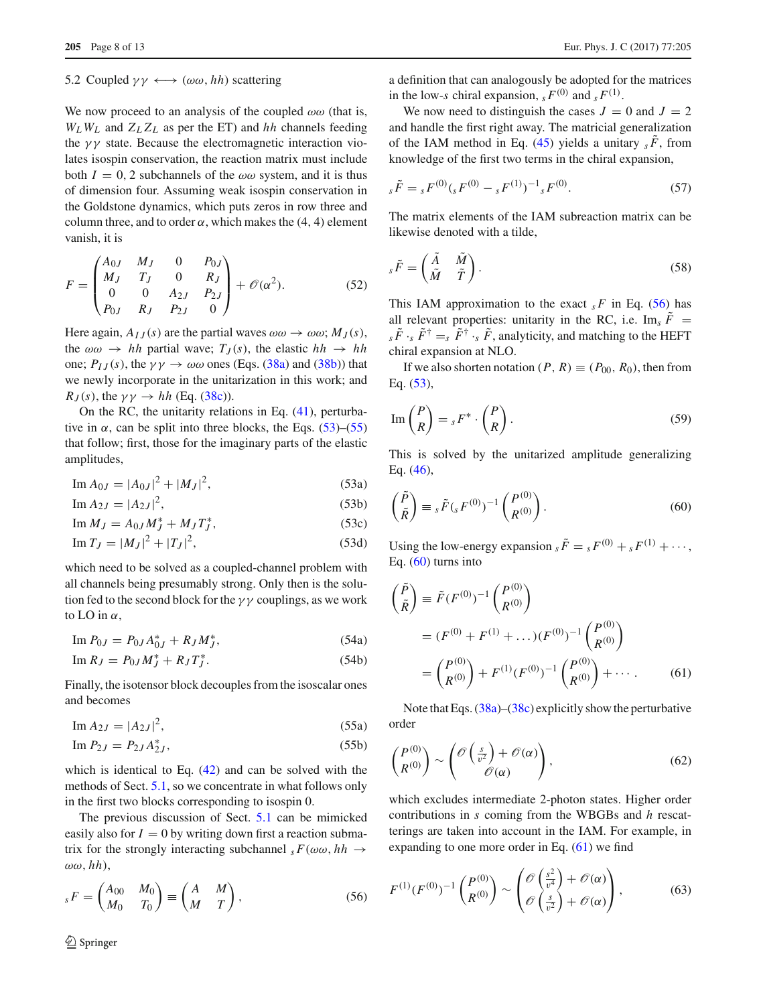#### 5.2 Coupled  $\gamma \gamma \leftrightarrow (\omega \omega, hh)$  scattering

We now proceed to an analysis of the coupled  $\omega\omega$  (that is,  $W_L W_L$  and  $Z_L Z_L$  as per the ET) and *hh* channels feeding the  $\gamma\gamma$  state. Because the electromagnetic interaction violates isospin conservation, the reaction matrix must include both  $I = 0, 2$  subchannels of the  $\omega \omega$  system, and it is thus of dimension four. Assuming weak isospin conservation in the Goldstone dynamics, which puts zeros in row three and column three, and to order  $\alpha$ , which makes the (4, 4) element vanish, it is

$$
F = \begin{pmatrix} A_{0J} & M_J & 0 & P_{0J} \\ M_J & T_J & 0 & R_J \\ 0 & 0 & A_{2J} & P_{2J} \\ P_{0J} & R_J & P_{2J} & 0 \end{pmatrix} + \mathcal{O}(\alpha^2). \tag{52}
$$

Here again,  $A_{IJ}(s)$  are the partial waves  $\omega \omega \rightarrow \omega \omega$ ;  $M_J(s)$ , the  $\omega \omega \rightarrow hh$  partial wave;  $T_J(s)$ , the elastic  $hh \rightarrow hh$ one;  $P_{IJ}(s)$ , the  $\gamma \gamma \to \omega \omega$  ones (Eqs. [\(38a\)](#page-5-5) and [\(38b\)](#page-5-5)) that we newly incorporate in the unitarization in this work; and  $R_J(s)$ , the  $\gamma \gamma \rightarrow hh$  (Eq. [\(38c\)](#page-5-5)).

On the RC, the unitarity relations in Eq. [\(41\)](#page-5-3), perturbative in  $\alpha$ , can be split into three blocks, the Eqs. [\(53\)](#page-7-0)–[\(55\)](#page-7-1) that follow; first, those for the imaginary parts of the elastic amplitudes,

<span id="page-7-0"></span>
$$
\text{Im}\,A_{0J} = |A_{0J}|^2 + |M_J|^2,\tag{53a}
$$

$$
\text{Im}\,A_{2J} = |A_{2J}|^2,\tag{53b}
$$

$$
\text{Im}\,M_J = A_{0J}M_J^* + M_J T_J^*,\tag{53c}
$$

$$
\operatorname{Im} T_J = |M_J|^2 + |T_J|^2,\tag{53d}
$$

which need to be solved as a coupled-channel problem with all channels being presumably strong. Only then is the solution fed to the second block for the  $\gamma \gamma$  couplings, as we work to LO in  $\alpha$ ,

<span id="page-7-6"></span> $\text{Im } P_{0J} = P_{0J} A_{0J}^* + R_J M_J^*$  $(54a)$ 

$$
\text{Im } R_J = P_{0J} M_J^* + R_J T_J^*.
$$
 (54b)

Finally, the isotensor block decouples from the isoscalar ones and becomes

<span id="page-7-1"></span>
$$
\text{Im}\,A_{2J} = |A_{2J}|^2,\tag{55a}
$$

Im 
$$
P_{2J} = P_{2J} A_{2J}^*
$$
, (55b)

which is identical to Eq. [\(42\)](#page-6-0) and can be solved with the methods of Sect. [5.1,](#page-5-6) so we concentrate in what follows only in the first two blocks corresponding to isospin 0.

The previous discussion of Sect. [5.1](#page-5-6) can be mimicked easily also for  $I = 0$  by writing down first a reaction submatrix for the strongly interacting subchannel  $_sF(\omega\omega, hh \rightarrow$ ωω, *hh*),

<span id="page-7-2"></span>
$$
{}_sF = \begin{pmatrix} A_{00} & M_0 \\ M_0 & T_0 \end{pmatrix} \equiv \begin{pmatrix} A & M \\ M & T \end{pmatrix},\tag{56}
$$

a definition that can analogously be adopted for the matrices in the low-*s* chiral expansion,  $_s F^{(0)}$  and  $_s F^{(1)}$ .

We now need to distinguish the cases  $J = 0$  and  $J = 2$ and handle the first right away. The matricial generalization of the IAM method in Eq. [\(45\)](#page-6-2) yields a unitary  $_s \overline{F}$ , from knowledge of the first two terms in the chiral expansion,

<span id="page-7-7"></span>
$$
s\tilde{F} = sF^{(0)}(sF^{(0)} - sF^{(1)})^{-1}{}_{s}F^{(0)}.
$$
\n(57)

The matrix elements of the IAM subreaction matrix can be likewise denoted with a tilde,

<span id="page-7-5"></span>
$$
s\tilde{F} = \begin{pmatrix} \tilde{A} & \tilde{M} \\ \tilde{M} & \tilde{T} \end{pmatrix}.
$$
 (58)

This IAM approximation to the exact  $_{s}$  *F* in Eq. [\(56\)](#page-7-2) has all relevant properties: unitarity in the RC, i.e. Im<sub>s</sub>  $\tilde{F}$  =  $s \tilde{F}$  ·*s*  $\tilde{F}^{\dagger} = s \tilde{F}^{\dagger}$  ·*s*  $\tilde{F}$ , analyticity, and matching to the HEFT chiral expansion at NLO.

If we also shorten notation  $(P, R) \equiv (P_{00}, R_0)$ , then from Eq. [\(53\)](#page-7-0),

$$
\operatorname{Im}\left(\frac{P}{R}\right) = {}_{s}F^{*} \cdot \binom{P}{R}.
$$
\n(59)

This is solved by the unitarized amplitude generalizing Eq. [\(46\)](#page-6-4),

<span id="page-7-3"></span>
$$
\begin{pmatrix}\tilde{P} \\ \tilde{R}\end{pmatrix} \equiv {}_s\tilde{F}({}_sF^{(0)})^{-1}\begin{pmatrix}P^{(0)} \\ R^{(0)}\end{pmatrix}.
$$
\n(60)

Using the low-energy expansion  $s \tilde{F} = s F^{(0)} + s F^{(1)} + \cdots$ , Eq.  $(60)$  turns into

<span id="page-7-4"></span>
$$
\begin{aligned}\n\left(\frac{\tilde{P}}{\tilde{R}}\right) &= \tilde{F}(F^{(0)})^{-1} \begin{pmatrix} P^{(0)} \\ R^{(0)} \end{pmatrix} \\
&= (F^{(0)} + F^{(1)} + \dots)(F^{(0)})^{-1} \begin{pmatrix} P^{(0)} \\ R^{(0)} \end{pmatrix} \\
&= \begin{pmatrix} P^{(0)} \\ R^{(0)} \end{pmatrix} + F^{(1)}(F^{(0)})^{-1} \begin{pmatrix} P^{(0)} \\ R^{(0)} \end{pmatrix} + \dots \tag{61}\n\end{aligned}
$$

Note that Eqs. [\(38a\)](#page-5-5)–[\(38c\)](#page-5-5) explicitly show the perturbative order

$$
\begin{pmatrix} P^{(0)} \\ R^{(0)} \end{pmatrix} \sim \begin{pmatrix} \mathcal{O}\left(\frac{s}{v^2}\right) + \mathcal{O}(\alpha) \\ \mathcal{O}(\alpha) \end{pmatrix},\tag{62}
$$

which excludes intermediate 2-photon states. Higher order contributions in *s* coming from the WBGBs and *h* rescatterings are taken into account in the IAM. For example, in expanding to one more order in Eq. [\(61\)](#page-7-4) we find

$$
F^{(1)}(F^{(0)})^{-1}\begin{pmatrix} P^{(0)} \\ R^{(0)} \end{pmatrix} \sim \begin{pmatrix} \mathcal{O}\left(\frac{s^2}{v^4}\right) + \mathcal{O}(\alpha) \\ \mathcal{O}\left(\frac{s}{v^2}\right) + \mathcal{O}(\alpha) \end{pmatrix},\tag{63}
$$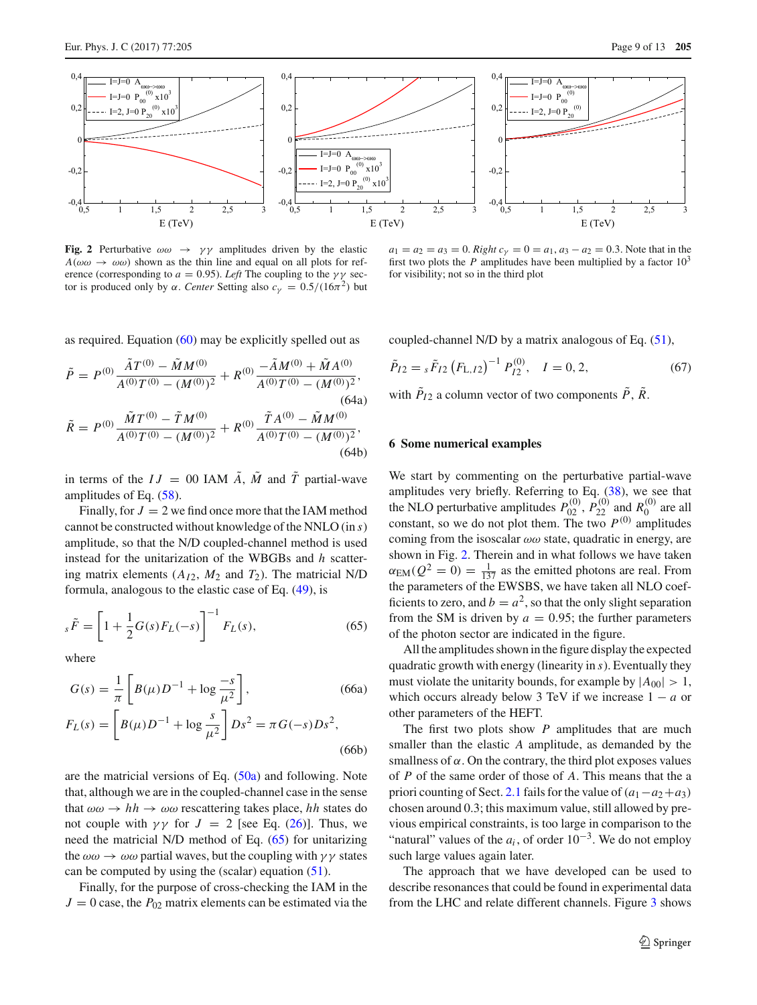

<span id="page-8-2"></span>**Fig. 2** Perturbative  $\omega \omega \rightarrow \gamma \gamma$  amplitudes driven by the elastic  $A(\omega\omega \rightarrow \omega\omega)$  shown as the thin line and equal on all plots for reference (corresponding to  $a = 0.95$ ). *Left* The coupling to the  $\gamma \gamma$  sector is produced only by α. *Center* Setting also  $c<sub>γ</sub> = 0.5/(16π<sup>2</sup>)$  but

 $a_1 = a_2 = a_3 = 0$ . *Right*  $c_\gamma = 0 = a_1, a_3 - a_2 = 0.3$ . Note that in the first two plots the *P* amplitudes have been multiplied by a factor  $10<sup>3</sup>$ for visibility; not so in the third plot

as required. Equation [\(60\)](#page-7-3) may be explicitly spelled out as

$$
\tilde{P} = P^{(0)} \frac{\tilde{A}T^{(0)} - \tilde{M}M^{(0)}}{A^{(0)}T^{(0)} - (M^{(0)})^2} + R^{(0)} \frac{-\tilde{A}M^{(0)} + \tilde{M}A^{(0)}}{A^{(0)}T^{(0)} - (M^{(0)})^2},
$$
\n(64a)  
\n
$$
\tilde{R} = P^{(0)} \frac{\tilde{M}T^{(0)} - \tilde{T}M^{(0)}}{A^{(0)}T^{(0)} - (M^{(0)})^2} + R^{(0)} \frac{\tilde{T}A^{(0)} - \tilde{M}M^{(0)}}{A^{(0)}T^{(0)} - (M^{(0)})^2},
$$
\n(64b)

in terms of the  $IJ = 00$  IAM  $\tilde{A}$ ,  $\tilde{M}$  and  $\tilde{T}$  partial-wave amplitudes of Eq. [\(58\)](#page-7-5).

Finally, for  $J = 2$  we find once more that the IAM method cannot be constructed without knowledge of the NNLO (in *s*) amplitude, so that the N/D coupled-channel method is used instead for the unitarization of the WBGBs and *h* scattering matrix elements  $(A_{I2}, M_2 \text{ and } T_2)$ . The matricial N/D formula, analogous to the elastic case of Eq. [\(49\)](#page-6-5), is

<span id="page-8-1"></span>
$$
s\tilde{F} = \left[1 + \frac{1}{2}G(s)F_L(-s)\right]^{-1}F_L(s),\tag{65}
$$

where

$$
G(s) = \frac{1}{\pi} \left[ B(\mu) D^{-1} + \log \frac{-s}{\mu^2} \right],
$$
 (66a)  

$$
F_L(s) = \left[ B(\mu) D^{-1} + \log \frac{s}{\mu^2} \right] D s^2 = \pi G(-s) D s^2,
$$
 (66b)

are the matricial versions of Eq.  $(50a)$  and following. Note that, although we are in the coupled-channel case in the sense that  $\omega \omega \rightarrow hh \rightarrow \omega \omega$  rescattering takes place, *hh* states do not couple with  $\gamma \gamma$  for  $J = 2$  [see Eq. [\(26\)](#page-4-5)]. Thus, we need the matricial N/D method of Eq. [\(65\)](#page-8-1) for unitarizing the  $\omega\omega \rightarrow \omega\omega$  partial waves, but the coupling with  $\gamma\gamma$  states can be computed by using the (scalar) equation  $(51)$ .

Finally, for the purpose of cross-checking the IAM in the  $J = 0$  case, the  $P_{02}$  matrix elements can be estimated via the coupled-channel N/D by a matrix analogous of Eq. [\(51\)](#page-6-6),

$$
\tilde{P}_{I2} = {}_{s}\tilde{F}_{I2} (F_{L,I2})^{-1} P_{I2}^{(0)}, \quad I = 0, 2,
$$
\n(67)

with  $P_{I2}$  a column vector of two components  $P$ ,  $R$ .

## <span id="page-8-0"></span>**6 Some numerical examples**

We start by commenting on the perturbative partial-wave amplitudes very briefly. Referring to Eq. [\(38\)](#page-5-7), we see that the NLO perturbative amplitudes  $P_{02}^{(0)}$ ,  $P_{22}^{(0)}$  and  $R_0^{(0)}$  are all constant, so we do not plot them. The two  $P^{(0)}$  amplitudes coming from the isoscalar  $\omega\omega$  state, quadratic in energy, are shown in Fig. [2.](#page-8-2) Therein and in what follows we have taken  $\alpha_{EM}(Q^2 = 0) = \frac{1}{137}$  as the emitted photons are real. From the parameters of the EWSBS, we have taken all NLO coefficients to zero, and  $b = a^2$ , so that the only slight separation from the SM is driven by  $a = 0.95$ ; the further parameters of the photon sector are indicated in the figure.

All the amplitudes shown in the figure display the expected quadratic growth with energy (linearity in *s*). Eventually they must violate the unitarity bounds, for example by  $|A_{00}| > 1$ , which occurs already below 3 TeV if we increase  $1 - a$  or other parameters of the HEFT.

The first two plots show *P* amplitudes that are much smaller than the elastic *A* amplitude, as demanded by the smallness of  $\alpha$ . On the contrary, the third plot exposes values of *P* of the same order of those of *A*. This means that the a priori counting of Sect. [2.1](#page-2-3) fails for the value of  $(a_1-a_2+a_3)$ chosen around 0.3; this maximum value, still allowed by previous empirical constraints, is too large in comparison to the "natural" values of the  $a_i$ , of order  $10^{-3}$ . We do not employ such large values again later.

The approach that we have developed can be used to describe resonances that could be found in experimental data from the LHC and relate different channels. Figure [3](#page-9-0) shows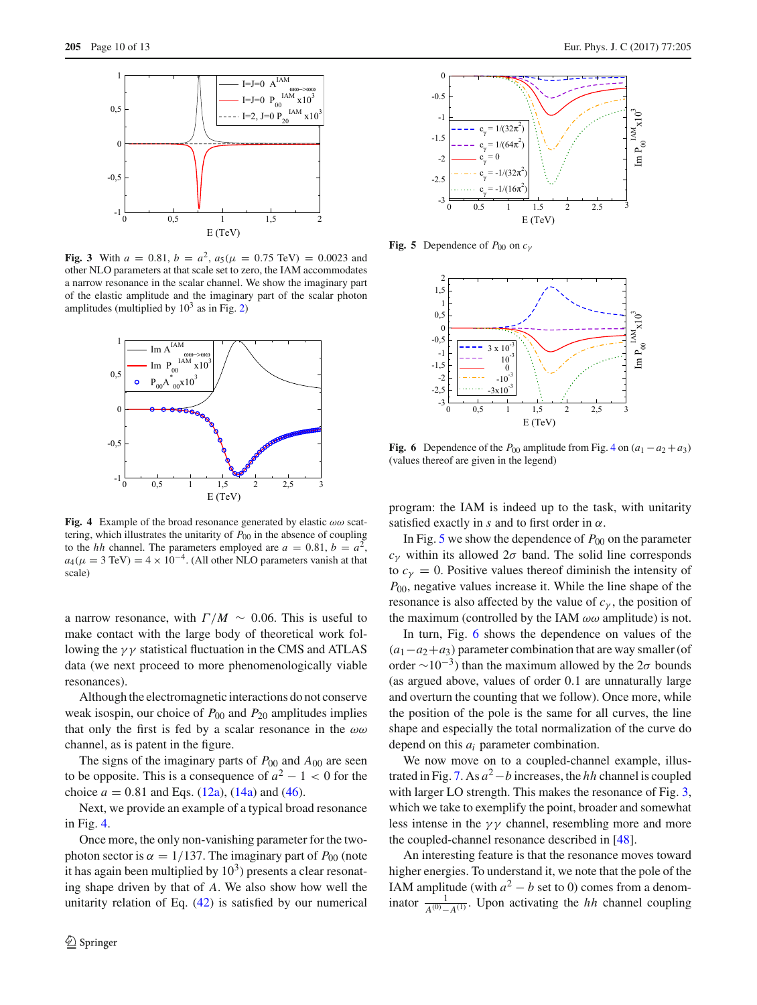

<span id="page-9-0"></span>**Fig. 3** With  $a = 0.81$ ,  $b = a^2$ ,  $a_5(\mu = 0.75 \text{ TeV}) = 0.0023$  and other NLO parameters at that scale set to zero, the IAM accommodates a narrow resonance in the scalar channel. We show the imaginary part of the elastic amplitude and the imaginary part of the scalar photon amplitudes (multiplied by  $10^3$  as in Fig. [2\)](#page-8-2)



<span id="page-9-1"></span>**Fig. 4** Example of the broad resonance generated by elastic  $\omega\omega$  scattering, which illustrates the unitarity of  $P_{00}$  in the absence of coupling to the *hh* channel. The parameters employed are  $a = 0.81$ ,  $b = a^2$ ,  $a_4(\mu = 3 \text{ TeV}) = 4 \times 10^{-4}$ . (All other NLO parameters vanish at that scale)

a narrow resonance, with  $\Gamma/M \sim 0.06$ . This is useful to make contact with the large body of theoretical work following the  $\gamma\gamma$  statistical fluctuation in the CMS and ATLAS data (we next proceed to more phenomenologically viable resonances).

Although the electromagnetic interactions do not conserve weak isospin, our choice of *P*<sup>00</sup> and *P*<sup>20</sup> amplitudes implies that only the first is fed by a scalar resonance in the  $\omega\omega$ channel, as is patent in the figure.

The signs of the imaginary parts of  $P_{00}$  and  $A_{00}$  are seen to be opposite. This is a consequence of  $a^2 - 1 < 0$  for the choice  $a = 0.81$  and Eqs.  $(12a)$ ,  $(14a)$  and  $(46)$ .

Next, we provide an example of a typical broad resonance in Fig. [4.](#page-9-1)

Once more, the only non-vanishing parameter for the twophoton sector is  $\alpha = 1/137$ . The imaginary part of  $P_{00}$  (note it has again been multiplied by  $10<sup>3</sup>$ ) presents a clear resonating shape driven by that of *A*. We also show how well the unitarity relation of Eq. [\(42\)](#page-6-0) is satisfied by our numerical



**Fig. 5** Dependence of  $P_{00}$  on  $c_V$ 

<span id="page-9-2"></span>

<span id="page-9-3"></span>**Fig. 6** Dependence of the  $P_{00}$  amplitude from Fig. [4](#page-9-1) on  $(a_1 - a_2 + a_3)$ (values thereof are given in the legend)

program: the IAM is indeed up to the task, with unitarity satisfied exactly in  $s$  and to first order in  $\alpha$ .

In Fig. [5](#page-9-2) we show the dependence of  $P_{00}$  on the parameter *c*<sup>γ</sup> within its allowed 2σ band. The solid line corresponds to  $c<sub>y</sub> = 0$ . Positive values thereof diminish the intensity of *P*<sub>00</sub>, negative values increase it. While the line shape of the resonance is also affected by the value of  $c<sub>\gamma</sub>$ , the position of the maximum (controlled by the IAM  $\omega\omega$  amplitude) is not.

In turn, Fig. [6](#page-9-3) shows the dependence on values of the  $(a_1-a_2+a_3)$  parameter combination that are way smaller (of order  $\sim 10^{-3}$ ) than the maximum allowed by the  $2\sigma$  bounds (as argued above, values of order 0.1 are unnaturally large and overturn the counting that we follow). Once more, while the position of the pole is the same for all curves, the line shape and especially the total normalization of the curve do depend on this *ai* parameter combination.

We now move on to a coupled-channel example, illus-trated in Fig. [7.](#page-10-2) As  $a^2-b$  increases, the *hh* channel is coupled with larger LO strength. This makes the resonance of Fig. [3,](#page-9-0) which we take to exemplify the point, broader and somewhat less intense in the  $\gamma\gamma$  channel, resembling more and more the coupled-channel resonance described in [\[48\]](#page-12-22).

An interesting feature is that the resonance moves toward higher energies. To understand it, we note that the pole of the IAM amplitude (with  $a^2 - b$  set to 0) comes from a denominator  $\frac{1}{A^{(0)}-A^{(1)}}$ . Upon activating the *hh* channel coupling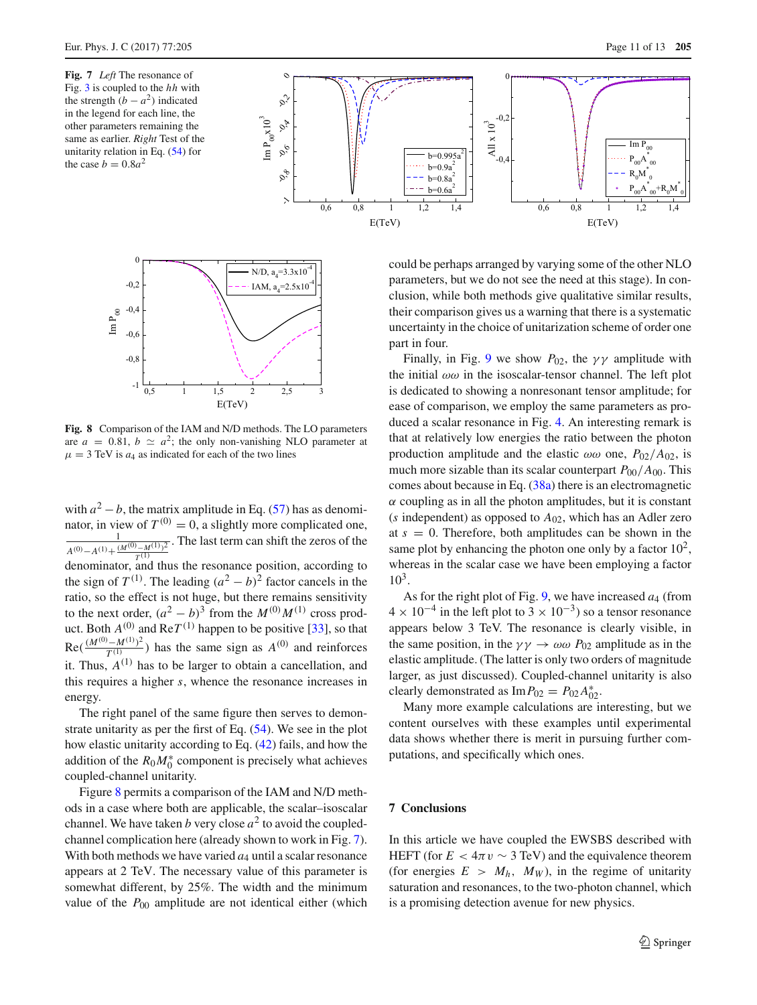<span id="page-10-2"></span>**Fig. 7** *Left* The resonance of Fig. [3](#page-9-0) is coupled to the *hh* with the strength  $(b - a^2)$  indicated in the legend for each line, the other parameters remaining the same as earlier. *Right* Test of the unitarity relation in Eq. [\(54\)](#page-7-6) for the case  $b = 0.8a^2$ 





<span id="page-10-0"></span>**Fig. 8** Comparison of the IAM and N/D methods. The LO parameters are  $a = 0.81$ ,  $b \simeq a^2$ ; the only non-vanishing NLO parameter at  $\mu = 3$  TeV is  $a_4$  as indicated for each of the two lines

with  $a^2 - b$ , the matrix amplitude in Eq. [\(57\)](#page-7-7) has as denominator, in view of  $T^{(0)} = 0$ , a slightly more complicated one,  $\frac{1}{A^{(0)}-A^{(1)}+\frac{(M^{(0)}-M^{(1)})^2}{T^{(1)}}}$ . The last term can shift the zeros of the  $\overline{T^{(1)}$  denominator, and thus the resonance position, according to the sign of  $T^{(1)}$ . The leading  $(a^2 - b)^2$  factor cancels in the ratio, so the effect is not huge, but there remains sensitivity to the next order,  $(a^2 - b)^3$  from the  $M^{(0)}M^{(1)}$  cross product. Both  $A^{(0)}$  and  $\text{Re} T^{(1)}$  happen to be positive [\[33](#page-12-7)], so that  $\text{Re}(\frac{(M^{(0)} - M^{(1)})^2}{T^{(1)}})$  has the same sign as  $A^{(0)}$  and reinforces it. Thus,  $A^{(1)}$  has to be larger to obtain a cancellation, and this requires a higher *s*, whence the resonance increases in energy.

The right panel of the same figure then serves to demonstrate unitarity as per the first of Eq. [\(54\)](#page-7-6). We see in the plot how elastic unitarity according to Eq. [\(42\)](#page-6-0) fails, and how the addition of the  $R_0 M_0^*$  component is precisely what achieves coupled-channel unitarity.

Figure [8](#page-10-0) permits a comparison of the IAM and N/D methods in a case where both are applicable, the scalar–isoscalar channel. We have taken *b* very close  $a^2$  to avoid the coupledchannel complication here (already shown to work in Fig. [7\)](#page-10-2). With both methods we have varied  $a_4$  until a scalar resonance appears at 2 TeV. The necessary value of this parameter is somewhat different, by 25%. The width and the minimum value of the  $P_{00}$  amplitude are not identical either (which could be perhaps arranged by varying some of the other NLO parameters, but we do not see the need at this stage). In conclusion, while both methods give qualitative similar results, their comparison gives us a warning that there is a systematic uncertainty in the choice of unitarization scheme of order one part in four.

Finally, in Fig. [9](#page-11-3) we show  $P_{02}$ , the  $\gamma\gamma$  amplitude with the initial  $\omega\omega$  in the isoscalar-tensor channel. The left plot is dedicated to showing a nonresonant tensor amplitude; for ease of comparison, we employ the same parameters as produced a scalar resonance in Fig. [4.](#page-9-1) An interesting remark is that at relatively low energies the ratio between the photon production amplitude and the elastic  $\omega \omega$  one,  $P_{02}/A_{02}$ , is much more sizable than its scalar counterpart  $P_{00}/A_{00}$ . This comes about because in Eq. [\(38a\)](#page-5-5) there is an electromagnetic  $\alpha$  coupling as in all the photon amplitudes, but it is constant (*s* independent) as opposed to *A*02, which has an Adler zero at  $s = 0$ . Therefore, both amplitudes can be shown in the same plot by enhancing the photon one only by a factor  $10<sup>2</sup>$ , whereas in the scalar case we have been employing a factor  $10^3$ .

As for the right plot of Fig.  $9$ , we have increased  $a_4$  (from  $4 \times 10^{-4}$  in the left plot to  $3 \times 10^{-3}$ ) so a tensor resonance appears below 3 TeV. The resonance is clearly visible, in the same position, in the  $\gamma \gamma \rightarrow \omega \omega P_{02}$  amplitude as in the elastic amplitude. (The latter is only two orders of magnitude larger, as just discussed). Coupled-channel unitarity is also clearly demonstrated as  $\text{Im} P_{02} = P_{02} A_{02}^*$ .

Many more example calculations are interesting, but we content ourselves with these examples until experimental data shows whether there is merit in pursuing further computations, and specifically which ones.

## <span id="page-10-1"></span>**7 Conclusions**

In this article we have coupled the EWSBS described with HEFT (for  $E < 4\pi v \sim 3$  TeV) and the equivalence theorem (for energies  $E > M_h$ ,  $M_W$ ), in the regime of unitarity saturation and resonances, to the two-photon channel, which is a promising detection avenue for new physics.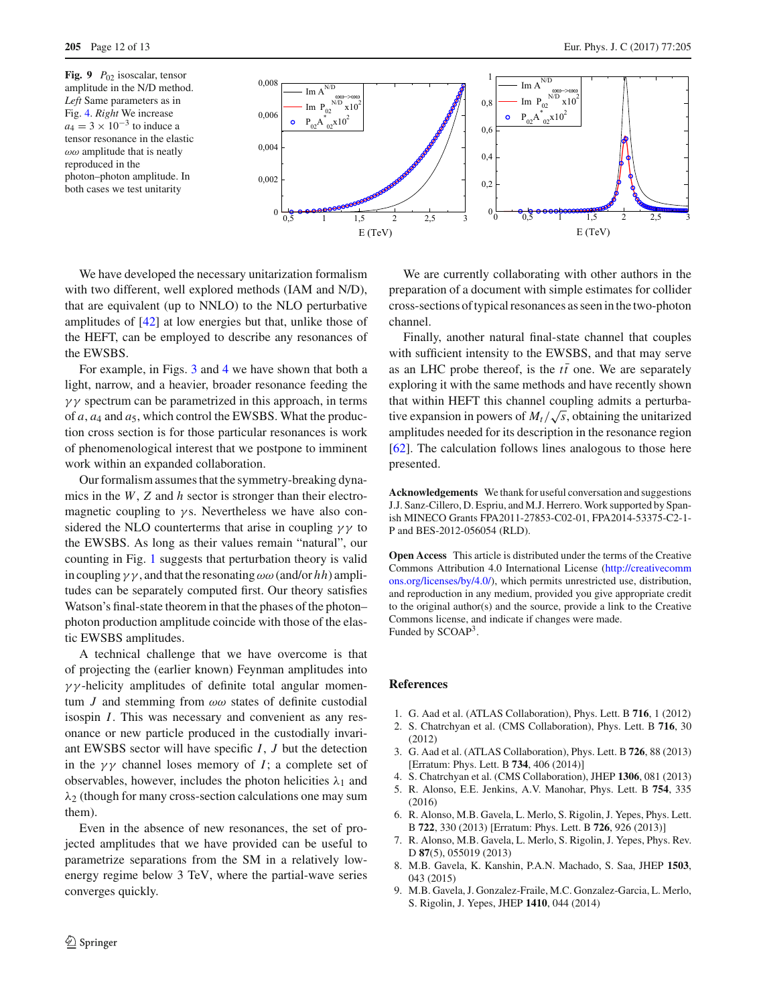<span id="page-11-3"></span>

We have developed the necessary unitarization formalism with two different, well explored methods (IAM and N/D), that are equivalent (up to NNLO) to the NLO perturbative amplitudes of [\[42](#page-12-16)] at low energies but that, unlike those of the HEFT, can be employed to describe any resonances of the EWSBS.

For example, in Figs. [3](#page-9-0) and [4](#page-9-1) we have shown that both a light, narrow, and a heavier, broader resonance feeding the  $\gamma\gamma$  spectrum can be parametrized in this approach, in terms of *a*, *a*<sup>4</sup> and *a*5, which control the EWSBS. What the production cross section is for those particular resonances is work of phenomenological interest that we postpone to imminent work within an expanded collaboration.

Our formalism assumes that the symmetry-breaking dynamics in the *W*, *Z* and *h* sector is stronger than their electromagnetic coupling to  $\gamma$ s. Nevertheless we have also considered the NLO counterterms that arise in coupling  $\gamma\gamma$  to the EWSBS. As long as their values remain "natural", our counting in Fig. [1](#page-3-1) suggests that perturbation theory is valid in coupling  $\gamma \gamma$ , and that the resonating  $\omega \omega$  (and/or *hh*) amplitudes can be separately computed first. Our theory satisfies Watson's final-state theorem in that the phases of the photon– photon production amplitude coincide with those of the elastic EWSBS amplitudes.

A technical challenge that we have overcome is that of projecting the (earlier known) Feynman amplitudes into  $\gamma\gamma$ -helicity amplitudes of definite total angular momentum *J* and stemming from  $\omega\omega$  states of definite custodial isospin *I*. This was necessary and convenient as any resonance or new particle produced in the custodially invariant EWSBS sector will have specific *I*, *J* but the detection in the  $\gamma\gamma$  channel loses memory of *I*; a complete set of observables, however, includes the photon helicities  $\lambda_1$  and  $\lambda_2$  (though for many cross-section calculations one may sum them).

Even in the absence of new resonances, the set of projected amplitudes that we have provided can be useful to parametrize separations from the SM in a relatively lowenergy regime below 3 TeV, where the partial-wave series converges quickly.

We are currently collaborating with other authors in the preparation of a document with simple estimates for collider cross-sections of typical resonances as seen in the two-photon channel.

Finally, another natural final-state channel that couples with sufficient intensity to the EWSBS, and that may serve as an LHC probe thereof, is the  $t\bar{t}$  one. We are separately exploring it with the same methods and have recently shown that within HEFT this channel coupling admits a perturbative expansion in powers of  $M_t/\sqrt{s}$ , obtaining the unitarized amplitudes needed for its description in the resonance region [\[62](#page-12-34)]. The calculation follows lines analogous to those here presented.

**Acknowledgements** We thank for useful conversation and suggestions J.J. Sanz-Cillero, D. Espriu, and M.J. Herrero. Work supported by Spanish MINECO Grants FPA2011-27853-C02-01, FPA2014-53375-C2-1- P and BES-2012-056054 (RLD).

**Open Access** This article is distributed under the terms of the Creative Commons Attribution 4.0 International License [\(http://creativecomm](http://creativecommons.org/licenses/by/4.0/) [ons.org/licenses/by/4.0/\)](http://creativecommons.org/licenses/by/4.0/), which permits unrestricted use, distribution, and reproduction in any medium, provided you give appropriate credit to the original author(s) and the source, provide a link to the Creative Commons license, and indicate if changes were made. Funded by SCOAP<sup>3</sup>.

### **References**

- <span id="page-11-0"></span>1. G. Aad et al. (ATLAS Collaboration), Phys. Lett. B **716**, 1 (2012)
- 2. S. Chatrchyan et al. (CMS Collaboration), Phys. Lett. B **716**, 30 (2012)
- 3. G. Aad et al. (ATLAS Collaboration), Phys. Lett. B **726**, 88 (2013) [Erratum: Phys. Lett. B **734**, 406 (2014)]
- <span id="page-11-1"></span>4. S. Chatrchyan et al. (CMS Collaboration), JHEP **1306**, 081 (2013)
- <span id="page-11-2"></span>5. R. Alonso, E.E. Jenkins, A.V. Manohar, Phys. Lett. B **754**, 335 (2016)
- 6. R. Alonso, M.B. Gavela, L. Merlo, S. Rigolin, J. Yepes, Phys. Lett. B **722**, 330 (2013) [Erratum: Phys. Lett. B **726**, 926 (2013)]
- 7. R. Alonso, M.B. Gavela, L. Merlo, S. Rigolin, J. Yepes, Phys. Rev. D **87**(5), 055019 (2013)
- 8. M.B. Gavela, K. Kanshin, P.A.N. Machado, S. Saa, JHEP **1503**, 043 (2015)
- 9. M.B. Gavela, J. Gonzalez-Fraile, M.C. Gonzalez-Garcia, L. Merlo, S. Rigolin, J. Yepes, JHEP **1410**, 044 (2014)